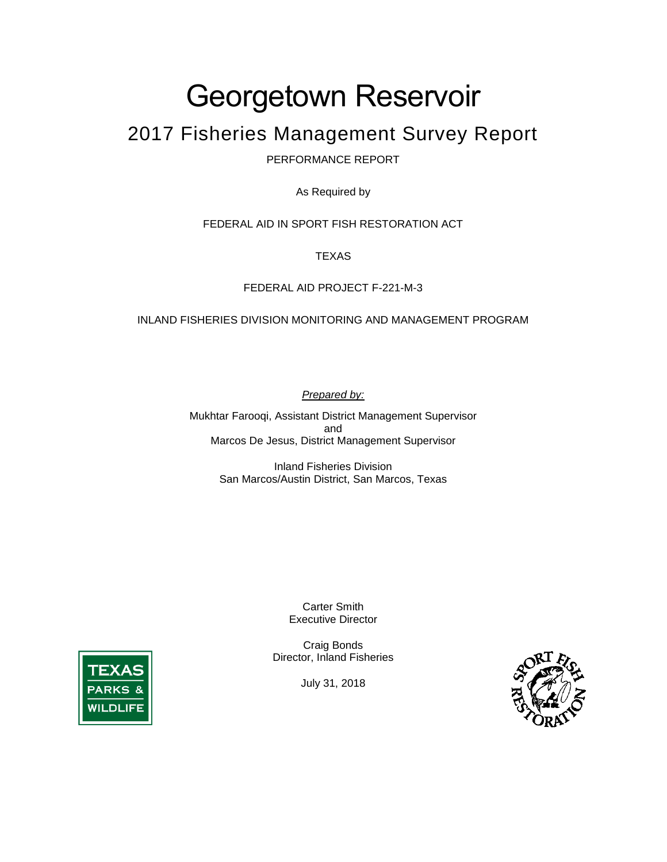# Georgetown Reservoir

# 2017 Fisheries Management Survey Report

PERFORMANCE REPORT

As Required by

FEDERAL AID IN SPORT FISH RESTORATION ACT

TEXAS

#### FEDERAL AID PROJECT F-221-M-3

#### INLAND FISHERIES DIVISION MONITORING AND MANAGEMENT PROGRAM

*Prepared by:* 

Mukhtar Farooqi, Assistant District Management Supervisor and Marcos De Jesus, District Management Supervisor

> Inland Fisheries Division San Marcos/Austin District, San Marcos, Texas

> > Carter Smith Executive Director

Craig Bonds Director, Inland Fisheries

July 31, 2018



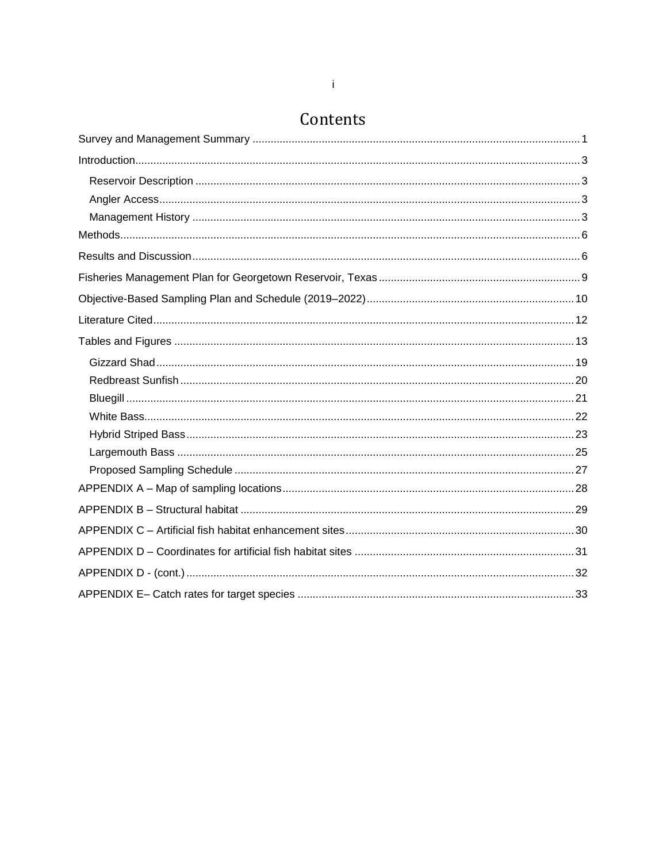### Contents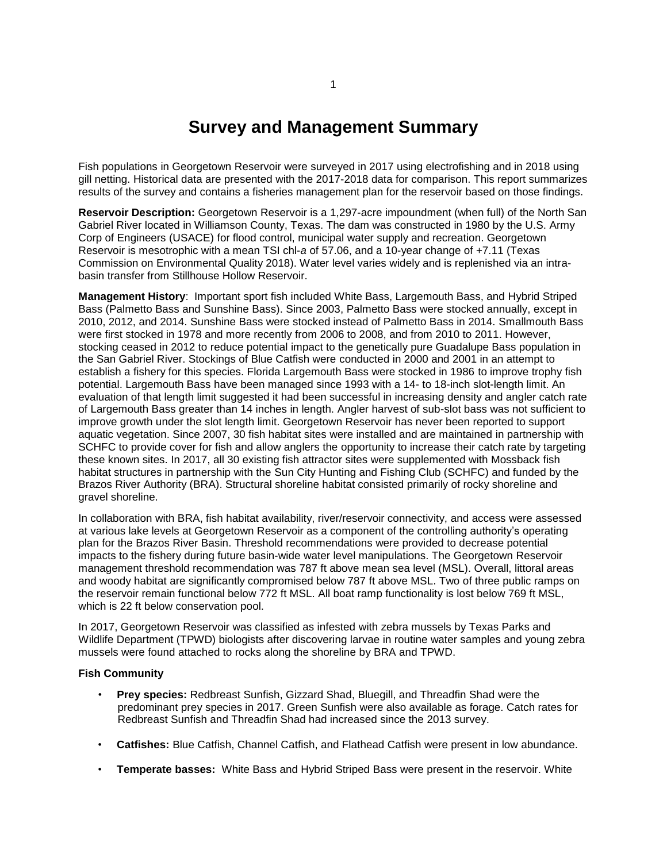### **Survey and Management Summary**

<span id="page-2-0"></span>Fish populations in Georgetown Reservoir were surveyed in 2017 using electrofishing and in 2018 using gill netting. Historical data are presented with the 2017-2018 data for comparison. This report summarizes results of the survey and contains a fisheries management plan for the reservoir based on those findings.

**Reservoir Description:** Georgetown Reservoir is a 1,297-acre impoundment (when full) of the North San Gabriel River located in Williamson County, Texas. The dam was constructed in 1980 by the U.S. Army Corp of Engineers (USACE) for flood control, municipal water supply and recreation. Georgetown Reservoir is mesotrophic with a mean TSI chl-*a* of 57.06, and a 10-year change of +7.11 (Texas Commission on Environmental Quality 2018). Water level varies widely and is replenished via an intrabasin transfer from Stillhouse Hollow Reservoir.

**Management History**: Important sport fish included White Bass, Largemouth Bass, and Hybrid Striped Bass (Palmetto Bass and Sunshine Bass). Since 2003, Palmetto Bass were stocked annually, except in 2010, 2012, and 2014. Sunshine Bass were stocked instead of Palmetto Bass in 2014. Smallmouth Bass were first stocked in 1978 and more recently from 2006 to 2008, and from 2010 to 2011. However, stocking ceased in 2012 to reduce potential impact to the genetically pure Guadalupe Bass population in the San Gabriel River. Stockings of Blue Catfish were conducted in 2000 and 2001 in an attempt to establish a fishery for this species. Florida Largemouth Bass were stocked in 1986 to improve trophy fish potential. Largemouth Bass have been managed since 1993 with a 14- to 18-inch slot-length limit. An evaluation of that length limit suggested it had been successful in increasing density and angler catch rate of Largemouth Bass greater than 14 inches in length. Angler harvest of sub-slot bass was not sufficient to improve growth under the slot length limit. Georgetown Reservoir has never been reported to support aquatic vegetation. Since 2007, 30 fish habitat sites were installed and are maintained in partnership with SCHFC to provide cover for fish and allow anglers the opportunity to increase their catch rate by targeting these known sites. In 2017, all 30 existing fish attractor sites were supplemented with Mossback fish habitat structures in partnership with the Sun City Hunting and Fishing Club (SCHFC) and funded by the Brazos River Authority (BRA). Structural shoreline habitat consisted primarily of rocky shoreline and gravel shoreline.

In collaboration with BRA, fish habitat availability, river/reservoir connectivity, and access were assessed at various lake levels at Georgetown Reservoir as a component of the controlling authority's operating plan for the Brazos River Basin. Threshold recommendations were provided to decrease potential impacts to the fishery during future basin-wide water level manipulations. The Georgetown Reservoir management threshold recommendation was 787 ft above mean sea level (MSL). Overall, littoral areas and woody habitat are significantly compromised below 787 ft above MSL. Two of three public ramps on the reservoir remain functional below 772 ft MSL. All boat ramp functionality is lost below 769 ft MSL, which is 22 ft below conservation pool.

In 2017, Georgetown Reservoir was classified as infested with zebra mussels by Texas Parks and Wildlife Department (TPWD) biologists after discovering larvae in routine water samples and young zebra mussels were found attached to rocks along the shoreline by BRA and TPWD.

#### **Fish Community**

- **Prey species:** Redbreast Sunfish, Gizzard Shad, Bluegill, and Threadfin Shad were the predominant prey species in 2017. Green Sunfish were also available as forage. Catch rates for Redbreast Sunfish and Threadfin Shad had increased since the 2013 survey.
- **Catfishes:** Blue Catfish, Channel Catfish, and Flathead Catfish were present in low abundance.
- **Temperate basses:** White Bass and Hybrid Striped Bass were present in the reservoir. White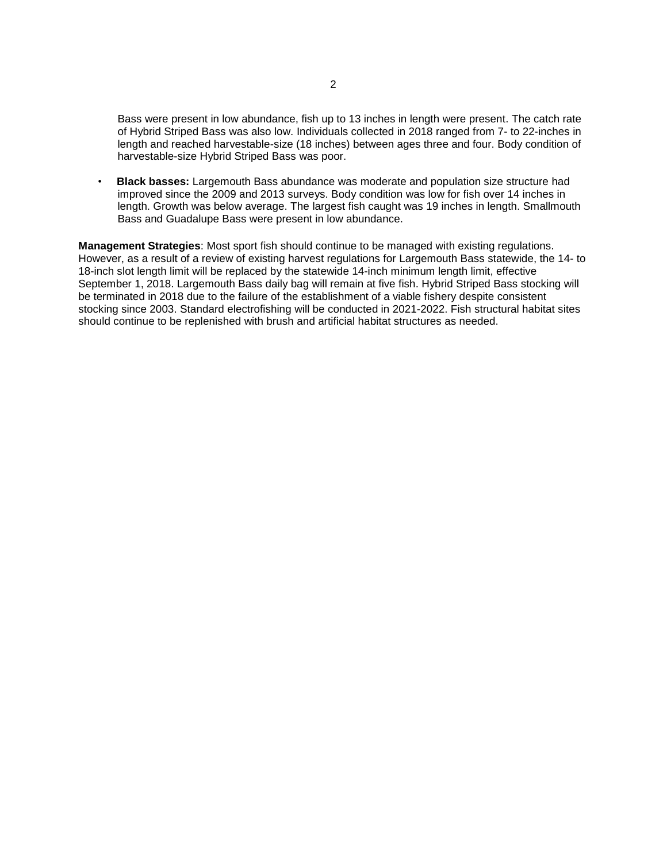Bass were present in low abundance, fish up to 13 inches in length were present. The catch rate of Hybrid Striped Bass was also low. Individuals collected in 2018 ranged from 7- to 22-inches in length and reached harvestable-size (18 inches) between ages three and four. Body condition of harvestable-size Hybrid Striped Bass was poor.

• **Black basses:** Largemouth Bass abundance was moderate and population size structure had improved since the 2009 and 2013 surveys. Body condition was low for fish over 14 inches in length. Growth was below average. The largest fish caught was 19 inches in length. Smallmouth Bass and Guadalupe Bass were present in low abundance.

**Management Strategies**: Most sport fish should continue to be managed with existing regulations. However, as a result of a review of existing harvest regulations for Largemouth Bass statewide, the 14- to 18-inch slot length limit will be replaced by the statewide 14-inch minimum length limit, effective September 1, 2018. Largemouth Bass daily bag will remain at five fish. Hybrid Striped Bass stocking will be terminated in 2018 due to the failure of the establishment of a viable fishery despite consistent stocking since 2003. Standard electrofishing will be conducted in 2021-2022. Fish structural habitat sites should continue to be replenished with brush and artificial habitat structures as needed.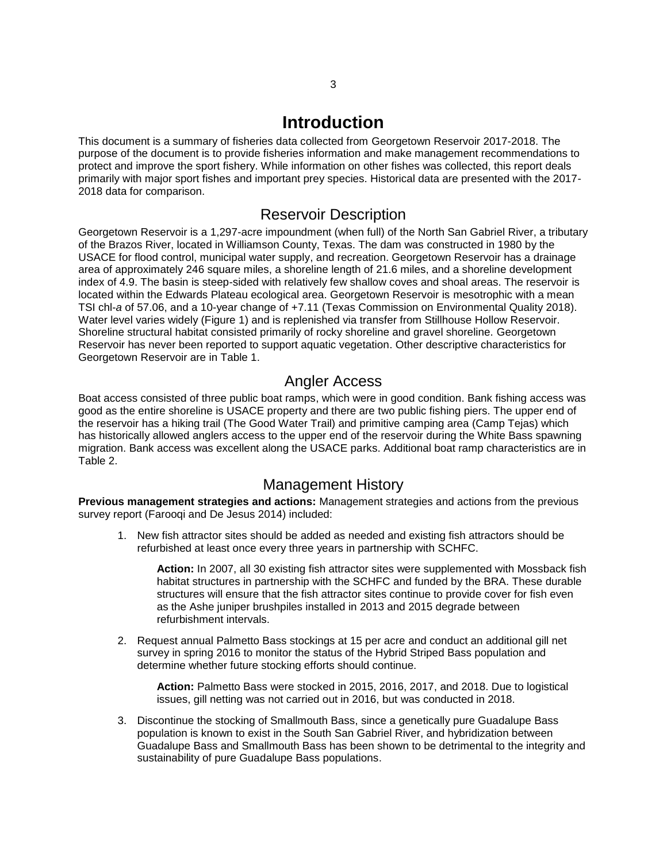#### **Introduction**

<span id="page-4-0"></span>This document is a summary of fisheries data collected from Georgetown Reservoir 2017-2018. The purpose of the document is to provide fisheries information and make management recommendations to protect and improve the sport fishery. While information on other fishes was collected, this report deals primarily with major sport fishes and important prey species. Historical data are presented with the 2017- 2018 data for comparison.

#### Reservoir Description

<span id="page-4-1"></span>Georgetown Reservoir is a 1,297-acre impoundment (when full) of the North San Gabriel River, a tributary of the Brazos River, located in Williamson County, Texas. The dam was constructed in 1980 by the USACE for flood control, municipal water supply, and recreation. Georgetown Reservoir has a drainage area of approximately 246 square miles, a shoreline length of 21.6 miles, and a shoreline development index of 4.9. The basin is steep-sided with relatively few shallow coves and shoal areas. The reservoir is located within the Edwards Plateau ecological area. Georgetown Reservoir is mesotrophic with a mean TSI chl-*a* of 57.06, and a 10-year change of +7.11 (Texas Commission on Environmental Quality 2018). Water level varies widely (Figure 1) and is replenished via transfer from Stillhouse Hollow Reservoir. Shoreline structural habitat consisted primarily of rocky shoreline and gravel shoreline. Georgetown Reservoir has never been reported to support aquatic vegetation. Other descriptive characteristics for Georgetown Reservoir are in Table 1.

#### Angler Access

<span id="page-4-2"></span>Boat access consisted of three public boat ramps, which were in good condition. Bank fishing access was good as the entire shoreline is USACE property and there are two public fishing piers. The upper end of the reservoir has a hiking trail (The Good Water Trail) and primitive camping area (Camp Tejas) which has historically allowed anglers access to the upper end of the reservoir during the White Bass spawning migration. Bank access was excellent along the USACE parks. Additional boat ramp characteristics are in Table 2.

#### Management History

<span id="page-4-3"></span>**Previous management strategies and actions:** Management strategies and actions from the previous survey report (Farooqi and De Jesus 2014) included:

1. New fish attractor sites should be added as needed and existing fish attractors should be refurbished at least once every three years in partnership with SCHFC.

**Action:** In 2007, all 30 existing fish attractor sites were supplemented with Mossback fish habitat structures in partnership with the SCHFC and funded by the BRA. These durable structures will ensure that the fish attractor sites continue to provide cover for fish even as the Ashe juniper brushpiles installed in 2013 and 2015 degrade between refurbishment intervals.

2. Request annual Palmetto Bass stockings at 15 per acre and conduct an additional gill net survey in spring 2016 to monitor the status of the Hybrid Striped Bass population and determine whether future stocking efforts should continue.

**Action:** Palmetto Bass were stocked in 2015, 2016, 2017, and 2018. Due to logistical issues, gill netting was not carried out in 2016, but was conducted in 2018.

3. Discontinue the stocking of Smallmouth Bass, since a genetically pure Guadalupe Bass population is known to exist in the South San Gabriel River, and hybridization between Guadalupe Bass and Smallmouth Bass has been shown to be detrimental to the integrity and sustainability of pure Guadalupe Bass populations.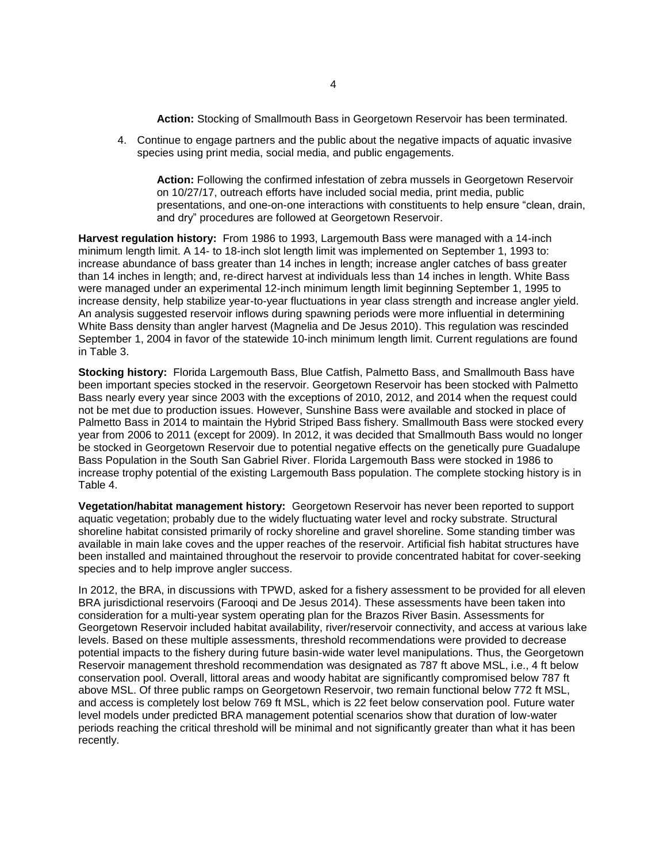**Action:** Stocking of Smallmouth Bass in Georgetown Reservoir has been terminated.

4. Continue to engage partners and the public about the negative impacts of aquatic invasive species using print media, social media, and public engagements.

**Action:** Following the confirmed infestation of zebra mussels in Georgetown Reservoir on 10/27/17, outreach efforts have included social media, print media, public presentations, and one-on-one interactions with constituents to help ensure "clean, drain, and dry" procedures are followed at Georgetown Reservoir.

**Harvest regulation history:** From 1986 to 1993, Largemouth Bass were managed with a 14-inch minimum length limit. A 14- to 18-inch slot length limit was implemented on September 1, 1993 to: increase abundance of bass greater than 14 inches in length; increase angler catches of bass greater than 14 inches in length; and, re-direct harvest at individuals less than 14 inches in length. White Bass were managed under an experimental 12-inch minimum length limit beginning September 1, 1995 to increase density, help stabilize year-to-year fluctuations in year class strength and increase angler yield. An analysis suggested reservoir inflows during spawning periods were more influential in determining White Bass density than angler harvest (Magnelia and De Jesus 2010). This regulation was rescinded September 1, 2004 in favor of the statewide 10-inch minimum length limit. Current regulations are found in Table 3.

**Stocking history:** Florida Largemouth Bass, Blue Catfish, Palmetto Bass, and Smallmouth Bass have been important species stocked in the reservoir. Georgetown Reservoir has been stocked with Palmetto Bass nearly every year since 2003 with the exceptions of 2010, 2012, and 2014 when the request could not be met due to production issues. However, Sunshine Bass were available and stocked in place of Palmetto Bass in 2014 to maintain the Hybrid Striped Bass fishery. Smallmouth Bass were stocked every year from 2006 to 2011 (except for 2009). In 2012, it was decided that Smallmouth Bass would no longer be stocked in Georgetown Reservoir due to potential negative effects on the genetically pure Guadalupe Bass Population in the South San Gabriel River. Florida Largemouth Bass were stocked in 1986 to increase trophy potential of the existing Largemouth Bass population. The complete stocking history is in Table 4.

**Vegetation/habitat management history:** Georgetown Reservoir has never been reported to support aquatic vegetation; probably due to the widely fluctuating water level and rocky substrate. Structural shoreline habitat consisted primarily of rocky shoreline and gravel shoreline. Some standing timber was available in main lake coves and the upper reaches of the reservoir. Artificial fish habitat structures have been installed and maintained throughout the reservoir to provide concentrated habitat for cover-seeking species and to help improve angler success.

In 2012, the BRA, in discussions with TPWD, asked for a fishery assessment to be provided for all eleven BRA jurisdictional reservoirs (Farooqi and De Jesus 2014). These assessments have been taken into consideration for a multi-year system operating plan for the Brazos River Basin. Assessments for Georgetown Reservoir included habitat availability, river/reservoir connectivity, and access at various lake levels. Based on these multiple assessments, threshold recommendations were provided to decrease potential impacts to the fishery during future basin-wide water level manipulations. Thus, the Georgetown Reservoir management threshold recommendation was designated as 787 ft above MSL, i.e., 4 ft below conservation pool. Overall, littoral areas and woody habitat are significantly compromised below 787 ft above MSL. Of three public ramps on Georgetown Reservoir, two remain functional below 772 ft MSL, and access is completely lost below 769 ft MSL, which is 22 feet below conservation pool. Future water level models under predicted BRA management potential scenarios show that duration of low-water periods reaching the critical threshold will be minimal and not significantly greater than what it has been recently.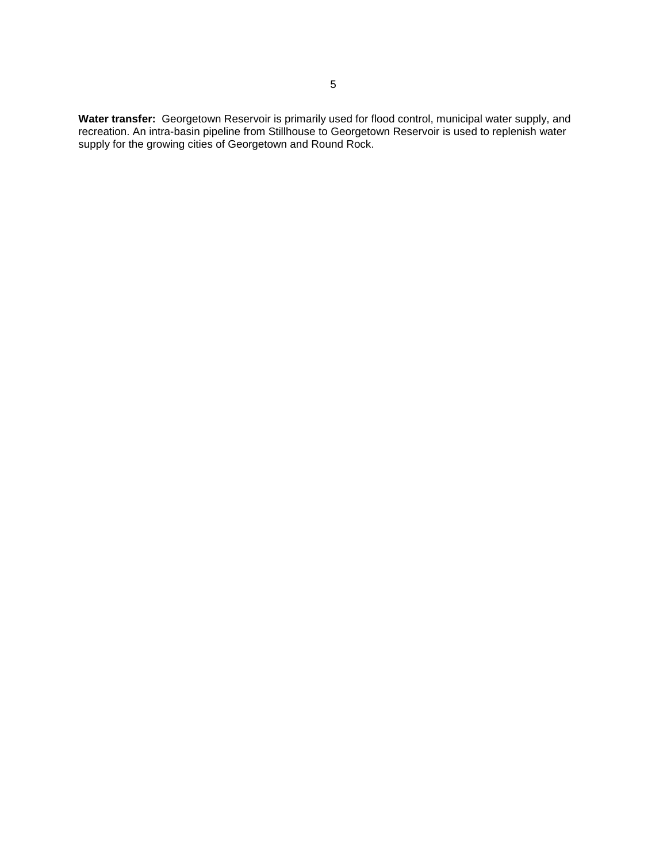**Water transfer:** Georgetown Reservoir is primarily used for flood control, municipal water supply, and recreation. An intra-basin pipeline from Stillhouse to Georgetown Reservoir is used to replenish water supply for the growing cities of Georgetown and Round Rock.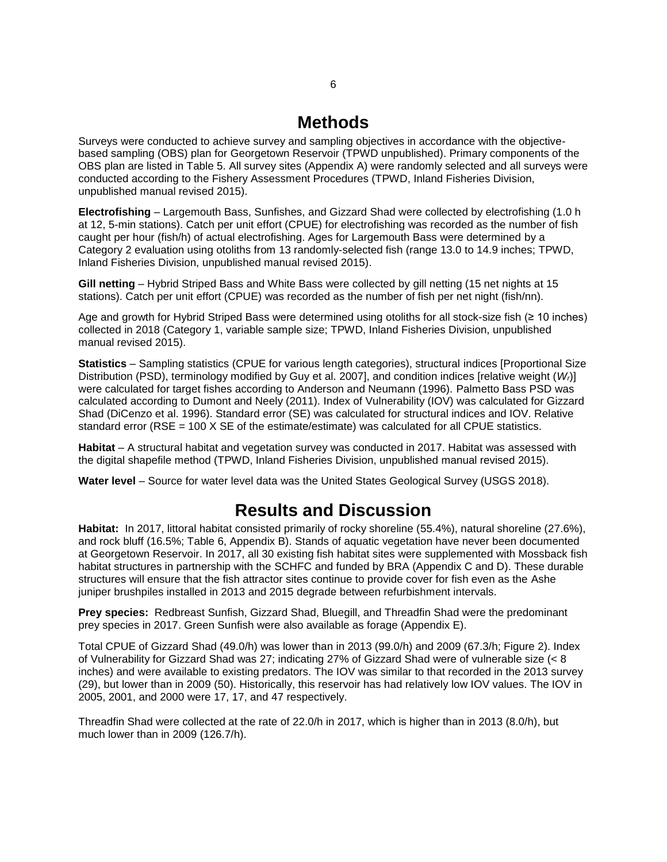### **Methods**

<span id="page-7-0"></span>Surveys were conducted to achieve survey and sampling objectives in accordance with the objectivebased sampling (OBS) plan for Georgetown Reservoir (TPWD unpublished). Primary components of the OBS plan are listed in Table 5. All survey sites (Appendix A) were randomly selected and all surveys were conducted according to the Fishery Assessment Procedures (TPWD, Inland Fisheries Division, unpublished manual revised 2015).

**Electrofishing** – Largemouth Bass, Sunfishes, and Gizzard Shad were collected by electrofishing (1.0 h at 12, 5-min stations). Catch per unit effort (CPUE) for electrofishing was recorded as the number of fish caught per hour (fish/h) of actual electrofishing. Ages for Largemouth Bass were determined by a Category 2 evaluation using otoliths from 13 randomly-selected fish (range 13.0 to 14.9 inches; TPWD, Inland Fisheries Division, unpublished manual revised 2015).

**Gill netting** – Hybrid Striped Bass and White Bass were collected by gill netting (15 net nights at 15 stations). Catch per unit effort (CPUE) was recorded as the number of fish per net night (fish/nn).

Age and growth for Hybrid Striped Bass were determined using otoliths for all stock-size fish (≥ 10 inches) collected in 2018 (Category 1, variable sample size; TPWD, Inland Fisheries Division, unpublished manual revised 2015).

**Statistics** – Sampling statistics (CPUE for various length categories), structural indices [Proportional Size Distribution (PSD), terminology modified by Guy et al. 2007], and condition indices [relative weight (*Wr*)] were calculated for target fishes according to Anderson and Neumann (1996). Palmetto Bass PSD was calculated according to Dumont and Neely (2011). Index of Vulnerability (IOV) was calculated for Gizzard Shad (DiCenzo et al. 1996). Standard error (SE) was calculated for structural indices and IOV. Relative standard error (RSE = 100 X SE of the estimate/estimate) was calculated for all CPUE statistics.

**Habitat** – A structural habitat and vegetation survey was conducted in 2017. Habitat was assessed with the digital shapefile method (TPWD, Inland Fisheries Division, unpublished manual revised 2015).

<span id="page-7-1"></span>**Water level** – Source for water level data was the United States Geological Survey (USGS 2018).

### **Results and Discussion**

**Habitat:** In 2017, littoral habitat consisted primarily of rocky shoreline (55.4%), natural shoreline (27.6%), and rock bluff (16.5%; Table 6, Appendix B). Stands of aquatic vegetation have never been documented at Georgetown Reservoir. In 2017, all 30 existing fish habitat sites were supplemented with Mossback fish habitat structures in partnership with the SCHFC and funded by BRA (Appendix C and D). These durable structures will ensure that the fish attractor sites continue to provide cover for fish even as the Ashe juniper brushpiles installed in 2013 and 2015 degrade between refurbishment intervals.

**Prey species:** Redbreast Sunfish, Gizzard Shad, Bluegill, and Threadfin Shad were the predominant prey species in 2017. Green Sunfish were also available as forage (Appendix E).

Total CPUE of Gizzard Shad (49.0/h) was lower than in 2013 (99.0/h) and 2009 (67.3/h; Figure 2). Index of Vulnerability for Gizzard Shad was 27; indicating 27% of Gizzard Shad were of vulnerable size (< 8 inches) and were available to existing predators. The IOV was similar to that recorded in the 2013 survey (29), but lower than in 2009 (50). Historically, this reservoir has had relatively low IOV values. The IOV in 2005, 2001, and 2000 were 17, 17, and 47 respectively.

Threadfin Shad were collected at the rate of 22.0/h in 2017, which is higher than in 2013 (8.0/h), but much lower than in 2009 (126.7/h).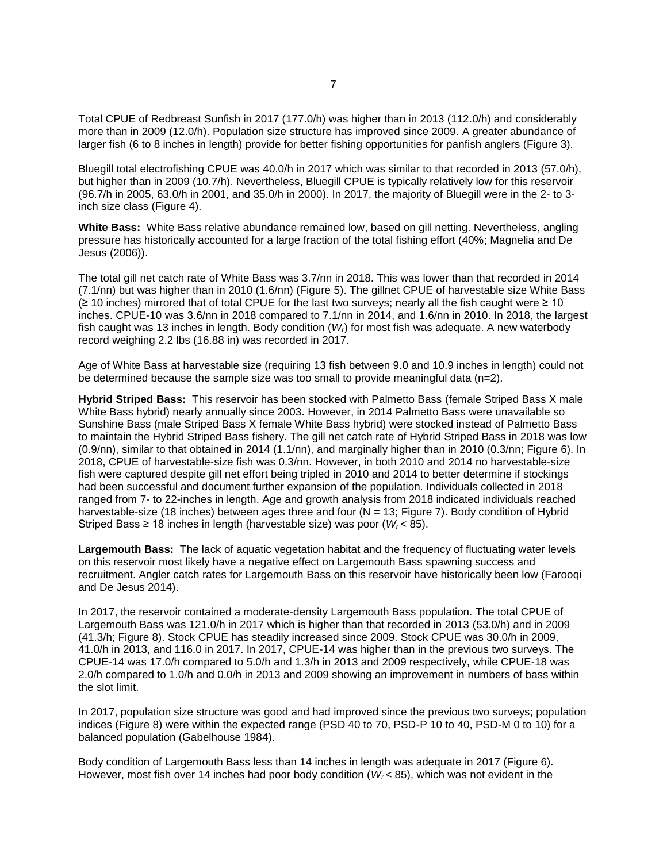Total CPUE of Redbreast Sunfish in 2017 (177.0/h) was higher than in 2013 (112.0/h) and considerably more than in 2009 (12.0/h). Population size structure has improved since 2009. A greater abundance of larger fish (6 to 8 inches in length) provide for better fishing opportunities for panfish anglers (Figure 3).

Bluegill total electrofishing CPUE was 40.0/h in 2017 which was similar to that recorded in 2013 (57.0/h), but higher than in 2009 (10.7/h). Nevertheless, Bluegill CPUE is typically relatively low for this reservoir (96.7/h in 2005, 63.0/h in 2001, and 35.0/h in 2000). In 2017, the majority of Bluegill were in the 2- to 3 inch size class (Figure 4).

**White Bass:** White Bass relative abundance remained low, based on gill netting. Nevertheless, angling pressure has historically accounted for a large fraction of the total fishing effort (40%; Magnelia and De Jesus (2006)).

The total gill net catch rate of White Bass was 3.7/nn in 2018. This was lower than that recorded in 2014 (7.1/nn) but was higher than in 2010 (1.6/nn) (Figure 5). The gillnet CPUE of harvestable size White Bass (≥ 10 inches) mirrored that of total CPUE for the last two surveys; nearly all the fish caught were ≥ 10 inches. CPUE-10 was 3.6/nn in 2018 compared to 7.1/nn in 2014, and 1.6/nn in 2010. In 2018, the largest fish caught was 13 inches in length. Body condition (*Wr*) for most fish was adequate. A new waterbody record weighing 2.2 lbs (16.88 in) was recorded in 2017.

Age of White Bass at harvestable size (requiring 13 fish between 9.0 and 10.9 inches in length) could not be determined because the sample size was too small to provide meaningful data (n=2).

**Hybrid Striped Bass:** This reservoir has been stocked with Palmetto Bass (female Striped Bass X male White Bass hybrid) nearly annually since 2003. However, in 2014 Palmetto Bass were unavailable so Sunshine Bass (male Striped Bass X female White Bass hybrid) were stocked instead of Palmetto Bass to maintain the Hybrid Striped Bass fishery. The gill net catch rate of Hybrid Striped Bass in 2018 was low (0.9/nn), similar to that obtained in 2014 (1.1/nn), and marginally higher than in 2010 (0.3/nn; Figure 6). In 2018, CPUE of harvestable-size fish was 0.3/nn. However, in both 2010 and 2014 no harvestable-size fish were captured despite gill net effort being tripled in 2010 and 2014 to better determine if stockings had been successful and document further expansion of the population. Individuals collected in 2018 ranged from 7- to 22-inches in length. Age and growth analysis from 2018 indicated individuals reached harvestable-size (18 inches) between ages three and four (N = 13; Figure 7). Body condition of Hybrid Striped Bass ≥ 18 inches in length (harvestable size) was poor  $(W_r < 85)$ .

**Largemouth Bass:** The lack of aquatic vegetation habitat and the frequency of fluctuating water levels on this reservoir most likely have a negative effect on Largemouth Bass spawning success and recruitment. Angler catch rates for Largemouth Bass on this reservoir have historically been low (Farooqi and De Jesus 2014).

In 2017, the reservoir contained a moderate-density Largemouth Bass population. The total CPUE of Largemouth Bass was 121.0/h in 2017 which is higher than that recorded in 2013 (53.0/h) and in 2009 (41.3/h; Figure 8). Stock CPUE has steadily increased since 2009. Stock CPUE was 30.0/h in 2009, 41.0/h in 2013, and 116.0 in 2017. In 2017, CPUE-14 was higher than in the previous two surveys. The CPUE-14 was 17.0/h compared to 5.0/h and 1.3/h in 2013 and 2009 respectively, while CPUE-18 was 2.0/h compared to 1.0/h and 0.0/h in 2013 and 2009 showing an improvement in numbers of bass within the slot limit.

In 2017, population size structure was good and had improved since the previous two surveys; population indices (Figure 8) were within the expected range (PSD 40 to 70, PSD-P 10 to 40, PSD-M 0 to 10) for a balanced population (Gabelhouse 1984).

Body condition of Largemouth Bass less than 14 inches in length was adequate in 2017 (Figure 6). However, most fish over 14 inches had poor body condition (*W<sup>r</sup>* < 85), which was not evident in the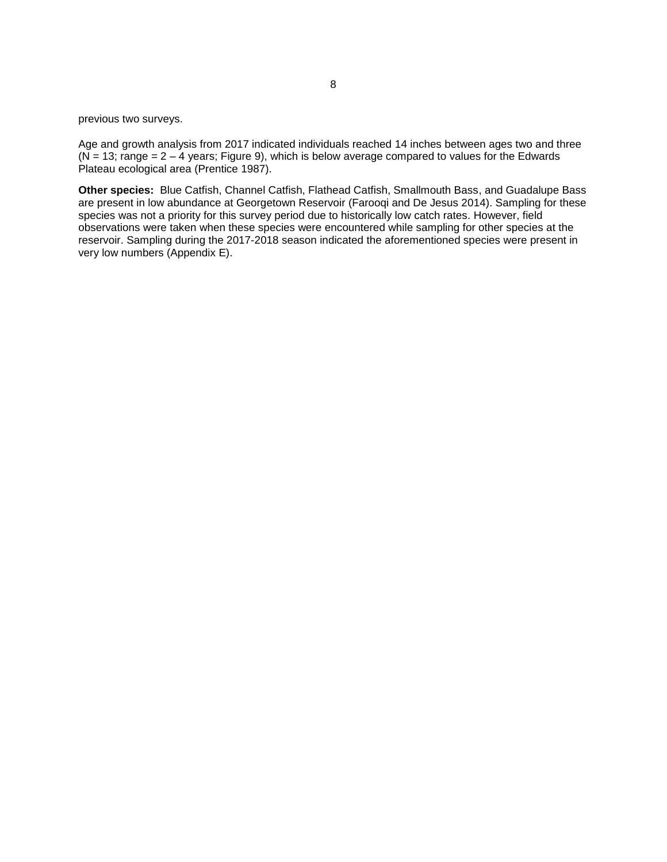previous two surveys.

Age and growth analysis from 2017 indicated individuals reached 14 inches between ages two and three  $(N = 13$ ; range =  $2 - 4$  years; Figure 9), which is below average compared to values for the Edwards Plateau ecological area (Prentice 1987).

**Other species:** Blue Catfish, Channel Catfish, Flathead Catfish, Smallmouth Bass, and Guadalupe Bass are present in low abundance at Georgetown Reservoir (Farooqi and De Jesus 2014). Sampling for these species was not a priority for this survey period due to historically low catch rates. However, field observations were taken when these species were encountered while sampling for other species at the reservoir. Sampling during the 2017-2018 season indicated the aforementioned species were present in very low numbers (Appendix E).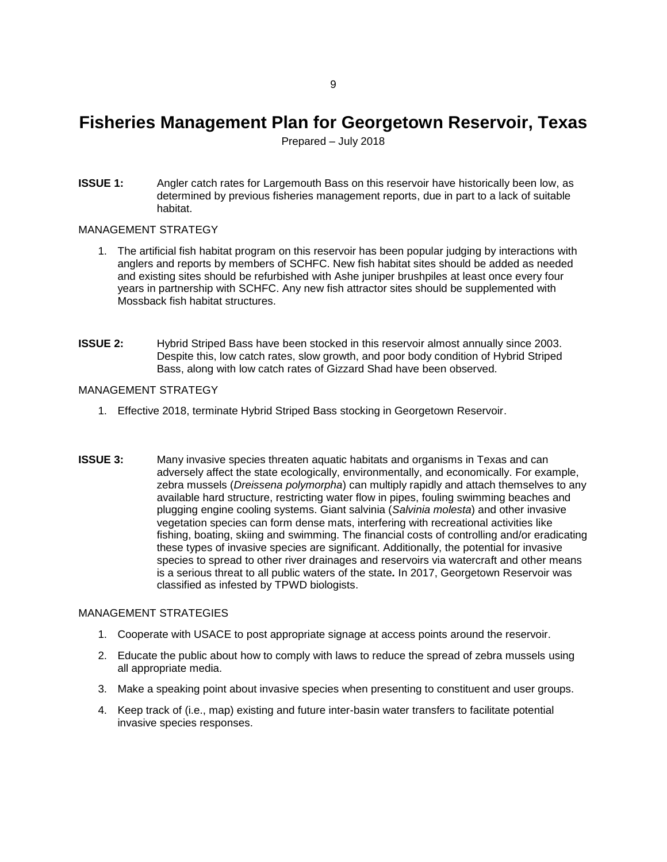### <span id="page-10-0"></span>**Fisheries Management Plan for Georgetown Reservoir, Texas**

Prepared – July 2018

**ISSUE 1:** Angler catch rates for Largemouth Bass on this reservoir have historically been low, as determined by previous fisheries management reports, due in part to a lack of suitable habitat.

#### MANAGEMENT STRATEGY

- 1. The artificial fish habitat program on this reservoir has been popular judging by interactions with anglers and reports by members of SCHFC. New fish habitat sites should be added as needed and existing sites should be refurbished with Ashe juniper brushpiles at least once every four years in partnership with SCHFC. Any new fish attractor sites should be supplemented with Mossback fish habitat structures.
- **ISSUE 2:** Hybrid Striped Bass have been stocked in this reservoir almost annually since 2003. Despite this, low catch rates, slow growth, and poor body condition of Hybrid Striped Bass, along with low catch rates of Gizzard Shad have been observed.

#### MANAGEMENT STRATEGY

- 1. Effective 2018, terminate Hybrid Striped Bass stocking in Georgetown Reservoir.
- **ISSUE 3:** Many invasive species threaten aquatic habitats and organisms in Texas and can adversely affect the state ecologically, environmentally, and economically. For example, zebra mussels (*Dreissena polymorpha*) can multiply rapidly and attach themselves to any available hard structure, restricting water flow in pipes, fouling swimming beaches and plugging engine cooling systems. Giant salvinia (*Salvinia molesta*) and other invasive vegetation species can form dense mats, interfering with recreational activities like fishing, boating, skiing and swimming. The financial costs of controlling and/or eradicating these types of invasive species are significant. Additionally, the potential for invasive species to spread to other river drainages and reservoirs via watercraft and other means is a serious threat to all public waters of the state*.* In 2017, Georgetown Reservoir was classified as infested by TPWD biologists.

#### MANAGEMENT STRATEGIES

- 1. Cooperate with USACE to post appropriate signage at access points around the reservoir.
- 2. Educate the public about how to comply with laws to reduce the spread of zebra mussels using all appropriate media.
- 3. Make a speaking point about invasive species when presenting to constituent and user groups.
- 4. Keep track of (i.e., map) existing and future inter-basin water transfers to facilitate potential invasive species responses.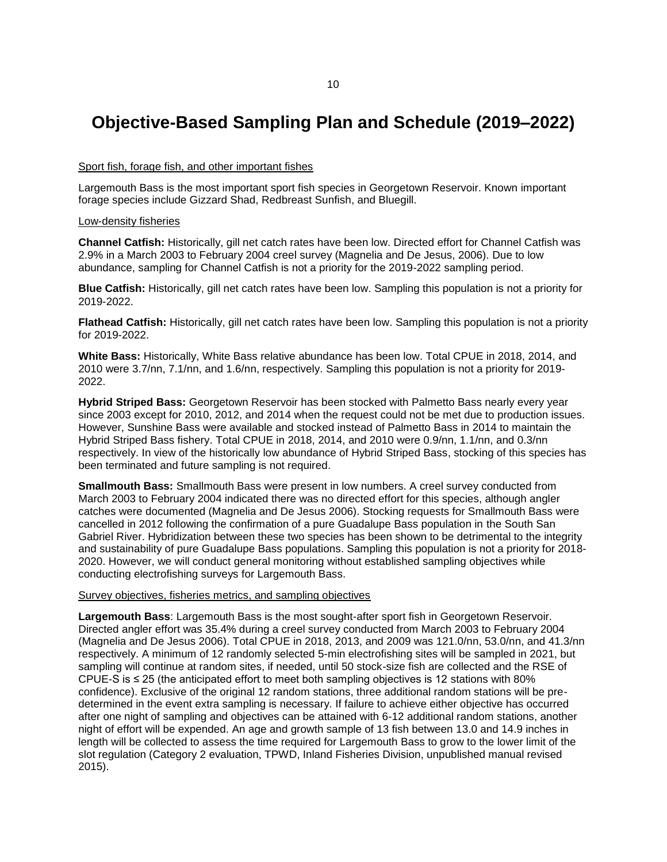### <span id="page-11-0"></span>**Objective-Based Sampling Plan and Schedule (2019–2022)**

#### Sport fish, forage fish, and other important fishes

Largemouth Bass is the most important sport fish species in Georgetown Reservoir. Known important forage species include Gizzard Shad, Redbreast Sunfish, and Bluegill.

#### Low-density fisheries

**Channel Catfish:** Historically, gill net catch rates have been low. Directed effort for Channel Catfish was 2.9% in a March 2003 to February 2004 creel survey (Magnelia and De Jesus, 2006). Due to low abundance, sampling for Channel Catfish is not a priority for the 2019-2022 sampling period.

**Blue Catfish:** Historically, gill net catch rates have been low. Sampling this population is not a priority for 2019-2022.

**Flathead Catfish:** Historically, gill net catch rates have been low. Sampling this population is not a priority for 2019-2022.

**White Bass:** Historically, White Bass relative abundance has been low. Total CPUE in 2018, 2014, and 2010 were 3.7/nn, 7.1/nn, and 1.6/nn, respectively. Sampling this population is not a priority for 2019- 2022.

**Hybrid Striped Bass:** Georgetown Reservoir has been stocked with Palmetto Bass nearly every year since 2003 except for 2010, 2012, and 2014 when the request could not be met due to production issues. However, Sunshine Bass were available and stocked instead of Palmetto Bass in 2014 to maintain the Hybrid Striped Bass fishery. Total CPUE in 2018, 2014, and 2010 were 0.9/nn, 1.1/nn, and 0.3/nn respectively. In view of the historically low abundance of Hybrid Striped Bass, stocking of this species has been terminated and future sampling is not required.

**Smallmouth Bass:** Smallmouth Bass were present in low numbers. A creel survey conducted from March 2003 to February 2004 indicated there was no directed effort for this species, although angler catches were documented (Magnelia and De Jesus 2006). Stocking requests for Smallmouth Bass were cancelled in 2012 following the confirmation of a pure Guadalupe Bass population in the South San Gabriel River. Hybridization between these two species has been shown to be detrimental to the integrity and sustainability of pure Guadalupe Bass populations. Sampling this population is not a priority for 2018- 2020. However, we will conduct general monitoring without established sampling objectives while conducting electrofishing surveys for Largemouth Bass.

#### Survey objectives, fisheries metrics, and sampling objectives

**Largemouth Bass**: Largemouth Bass is the most sought-after sport fish in Georgetown Reservoir. Directed angler effort was 35.4% during a creel survey conducted from March 2003 to February 2004 (Magnelia and De Jesus 2006). Total CPUE in 2018, 2013, and 2009 was 121.0/nn, 53.0/nn, and 41.3/nn respectively. A minimum of 12 randomly selected 5-min electrofishing sites will be sampled in 2021, but sampling will continue at random sites, if needed, until 50 stock-size fish are collected and the RSE of CPUE-S is ≤ 25 (the anticipated effort to meet both sampling objectives is 12 stations with 80% confidence). Exclusive of the original 12 random stations, three additional random stations will be predetermined in the event extra sampling is necessary. If failure to achieve either objective has occurred after one night of sampling and objectives can be attained with 6-12 additional random stations, another night of effort will be expended. An age and growth sample of 13 fish between 13.0 and 14.9 inches in length will be collected to assess the time required for Largemouth Bass to grow to the lower limit of the slot regulation (Category 2 evaluation, TPWD, Inland Fisheries Division, unpublished manual revised 2015).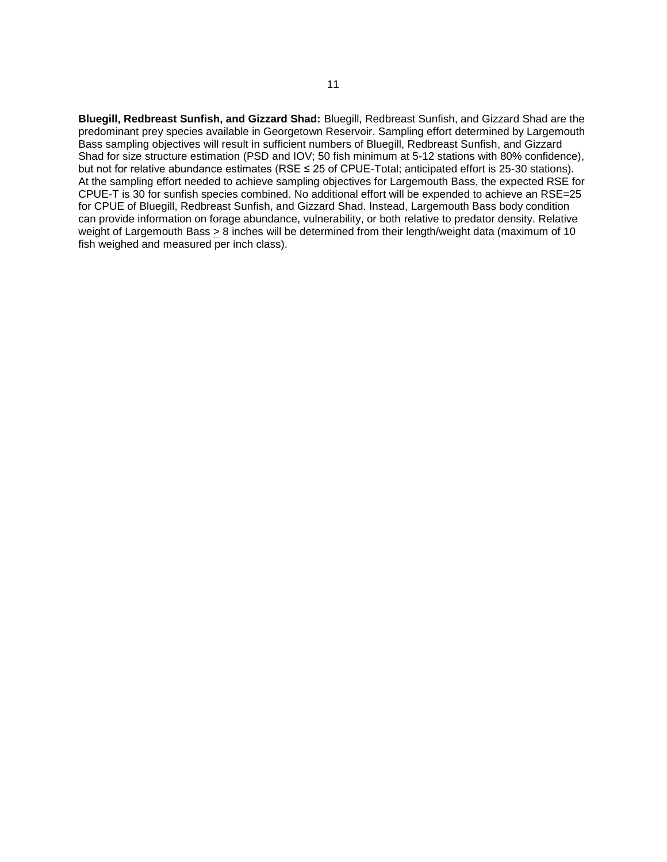**Bluegill, Redbreast Sunfish, and Gizzard Shad:** Bluegill, Redbreast Sunfish, and Gizzard Shad are the predominant prey species available in Georgetown Reservoir. Sampling effort determined by Largemouth Bass sampling objectives will result in sufficient numbers of Bluegill, Redbreast Sunfish, and Gizzard Shad for size structure estimation (PSD and IOV; 50 fish minimum at 5-12 stations with 80% confidence), but not for relative abundance estimates (RSE ≤ 25 of CPUE-Total; anticipated effort is 25-30 stations). At the sampling effort needed to achieve sampling objectives for Largemouth Bass, the expected RSE for CPUE-T is 30 for sunfish species combined. No additional effort will be expended to achieve an RSE=25 for CPUE of Bluegill, Redbreast Sunfish, and Gizzard Shad. Instead, Largemouth Bass body condition can provide information on forage abundance, vulnerability, or both relative to predator density. Relative weight of Largemouth Bass > 8 inches will be determined from their length/weight data (maximum of 10 fish weighed and measured per inch class).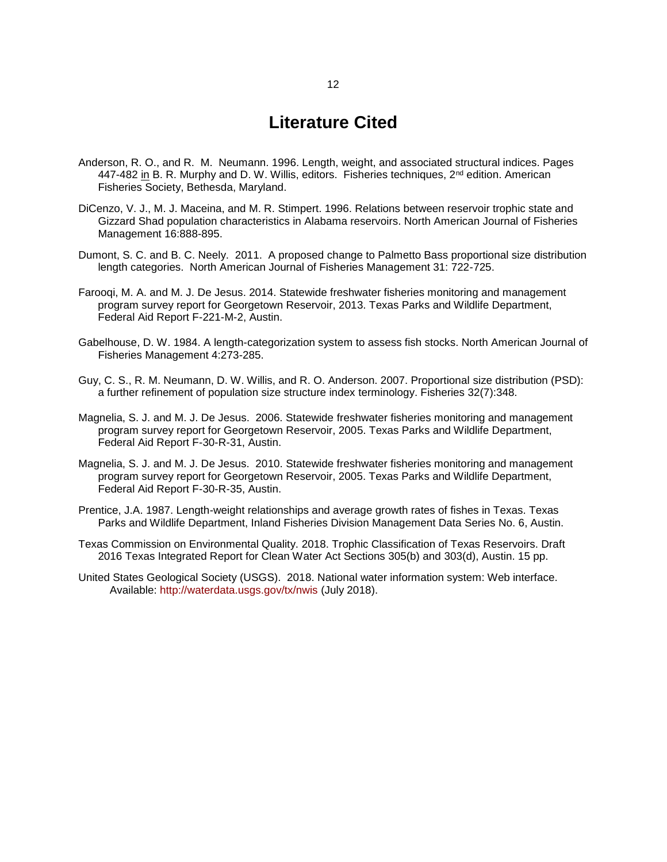### **Literature Cited**

- <span id="page-13-0"></span>Anderson, R. O., and R. M. Neumann. 1996. Length, weight, and associated structural indices. Pages 447-482 in B. R. Murphy and D. W. Willis, editors. Fisheries techniques,  $2^{nd}$  edition. American Fisheries Society, Bethesda, Maryland.
- DiCenzo, V. J., M. J. Maceina, and M. R. Stimpert. 1996. Relations between reservoir trophic state and Gizzard Shad population characteristics in Alabama reservoirs. North American Journal of Fisheries Management 16:888-895.
- Dumont, S. C. and B. C. Neely. 2011. A proposed change to Palmetto Bass proportional size distribution length categories. North American Journal of Fisheries Management 31: 722-725.
- Farooqi, M. A. and M. J. De Jesus. 2014. Statewide freshwater fisheries monitoring and management program survey report for Georgetown Reservoir, 2013. Texas Parks and Wildlife Department, Federal Aid Report F-221-M-2, Austin.
- Gabelhouse, D. W. 1984. A length-categorization system to assess fish stocks. North American Journal of Fisheries Management 4:273-285.
- Guy, C. S., R. M. Neumann, D. W. Willis, and R. O. Anderson. 2007. Proportional size distribution (PSD): a further refinement of population size structure index terminology. Fisheries 32(7):348.
- Magnelia, S. J. and M. J. De Jesus. 2006. Statewide freshwater fisheries monitoring and management program survey report for Georgetown Reservoir, 2005. Texas Parks and Wildlife Department, Federal Aid Report F-30-R-31, Austin.
- Magnelia, S. J. and M. J. De Jesus. 2010. Statewide freshwater fisheries monitoring and management program survey report for Georgetown Reservoir, 2005. Texas Parks and Wildlife Department, Federal Aid Report F-30-R-35, Austin.
- Prentice, J.A. 1987. Length-weight relationships and average growth rates of fishes in Texas. Texas Parks and Wildlife Department, Inland Fisheries Division Management Data Series No. 6, Austin.
- Texas Commission on Environmental Quality. 2018. Trophic Classification of Texas Reservoirs. Draft 2016 Texas Integrated Report for Clean Water Act Sections 305(b) and 303(d), Austin. 15 pp.
- United States Geological Society (USGS). 2018. National water information system: Web interface. Available:<http://waterdata.usgs.gov/tx/nwis>(July 2018).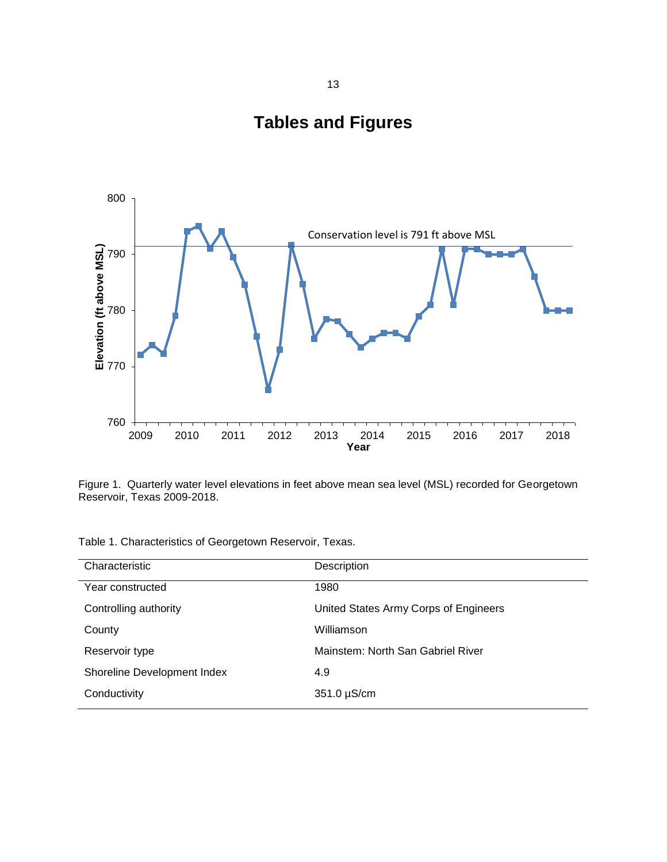

<span id="page-14-0"></span>

Figure 1. Quarterly water level elevations in feet above mean sea level (MSL) recorded for Georgetown Reservoir, Texas 2009-2018.

|  | Table 1. Characteristics of Georgetown Reservoir, Texas. |  |  |  |  |
|--|----------------------------------------------------------|--|--|--|--|
|--|----------------------------------------------------------|--|--|--|--|

| Characteristic              | Description                           |
|-----------------------------|---------------------------------------|
| Year constructed            | 1980                                  |
| Controlling authority       | United States Army Corps of Engineers |
| County                      | Williamson                            |
| Reservoir type              | Mainstem: North San Gabriel River     |
| Shoreline Development Index | 4.9                                   |
| Conductivity                | 351.0 µS/cm                           |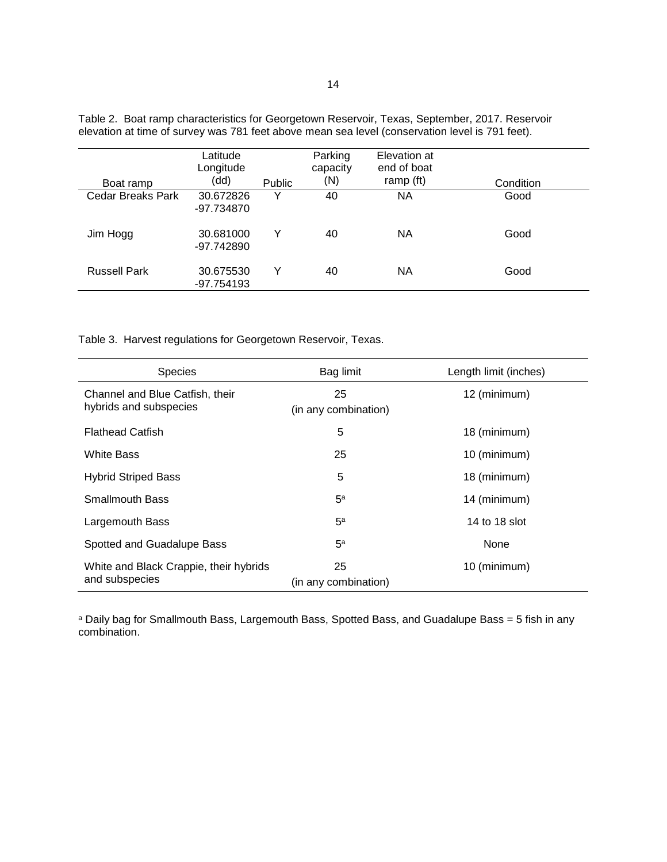| Boat ramp           | Latitude<br>Longitude<br>(dd) | <b>Public</b> | Parking<br>capacity<br>(N) | Elevation at<br>end of boat<br>ramp (ft) | Condition |
|---------------------|-------------------------------|---------------|----------------------------|------------------------------------------|-----------|
| Cedar Breaks Park   | 30.672826<br>-97.734870       | v             | 40                         | NА                                       | Good      |
| Jim Hogg            | 30.681000<br>-97.742890       | Y             | 40                         | <b>NA</b>                                | Good      |
| <b>Russell Park</b> | 30.675530<br>-97.754193       | Y             | 40                         | <b>NA</b>                                | Good      |

Table 2. Boat ramp characteristics for Georgetown Reservoir, Texas, September, 2017. Reservoir elevation at time of survey was 781 feet above mean sea level (conservation level is 791 feet).

Table 3. Harvest regulations for Georgetown Reservoir, Texas.

| <b>Species</b>                                            | Bag limit                  | Length limit (inches) |
|-----------------------------------------------------------|----------------------------|-----------------------|
| Channel and Blue Catfish, their<br>hybrids and subspecies | 25<br>(in any combination) | 12 (minimum)          |
| <b>Flathead Catfish</b>                                   | 5                          | 18 (minimum)          |
| <b>White Bass</b>                                         | 25                         | 10 (minimum)          |
| <b>Hybrid Striped Bass</b>                                | 5                          | 18 (minimum)          |
| <b>Smallmouth Bass</b>                                    | 5 <sup>a</sup>             | 14 (minimum)          |
| Largemouth Bass                                           | 5 <sup>a</sup>             | 14 to 18 slot         |
| Spotted and Guadalupe Bass                                | 5 <sup>a</sup>             | None                  |
| White and Black Crappie, their hybrids<br>and subspecies  | 25<br>(in any combination) | 10 (minimum)          |

a Daily bag for Smallmouth Bass, Largemouth Bass, Spotted Bass, and Guadalupe Bass = 5 fish in any combination.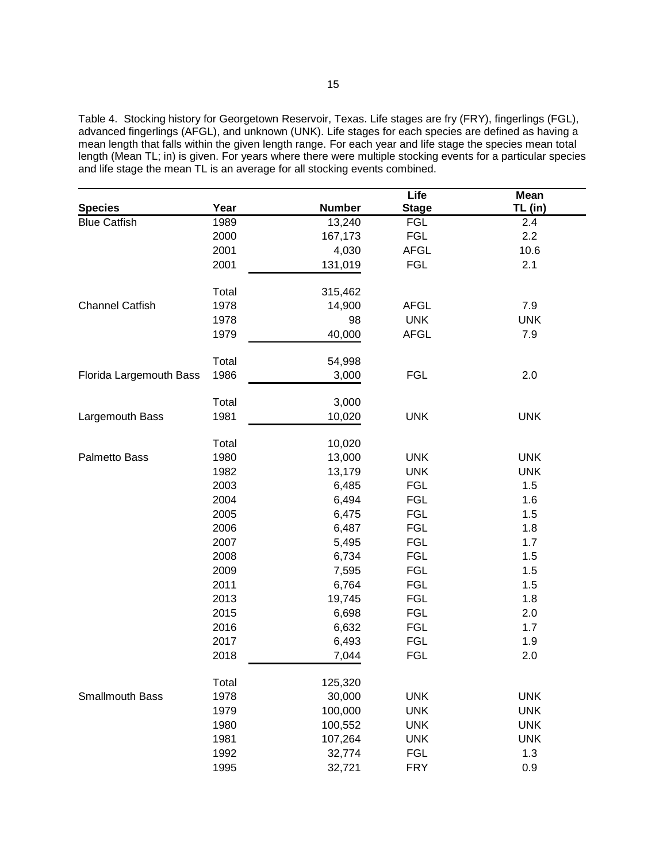Table 4. Stocking history for Georgetown Reservoir, Texas. Life stages are fry (FRY), fingerlings (FGL), advanced fingerlings (AFGL), and unknown (UNK). Life stages for each species are defined as having a mean length that falls within the given length range. For each year and life stage the species mean total length (Mean TL; in) is given. For years where there were multiple stocking events for a particular species and life stage the mean TL is an average for all stocking events combined.

|                         |               |               | Life         | Mean       |
|-------------------------|---------------|---------------|--------------|------------|
| <b>Species</b>          | Year          | <b>Number</b> | <b>Stage</b> | TL (in)    |
| <b>Blue Catfish</b>     | 1989          | 13,240        | <b>FGL</b>   | 2.4        |
|                         | 2000          | 167,173       | <b>FGL</b>   | 2.2        |
|                         | 2001          | 4,030         | <b>AFGL</b>  | 10.6       |
|                         | 2001          | 131,019       | <b>FGL</b>   | 2.1        |
|                         |               |               |              |            |
|                         | Total         | 315,462       |              |            |
| <b>Channel Catfish</b>  | 1978          | 14,900        | <b>AFGL</b>  | 7.9        |
|                         | 1978          | 98            | <b>UNK</b>   | <b>UNK</b> |
|                         | 1979          | 40,000        | <b>AFGL</b>  | 7.9        |
|                         | Total         | 54,998        |              |            |
| Florida Largemouth Bass | 1986          | 3,000         | <b>FGL</b>   | 2.0        |
|                         |               |               |              |            |
|                         | Total         | 3,000         |              |            |
| Largemouth Bass         | 1981          | 10,020        | <b>UNK</b>   | <b>UNK</b> |
|                         | Total         | 10,020        |              |            |
| Palmetto Bass           | 1980          | 13,000        | <b>UNK</b>   | <b>UNK</b> |
|                         | 1982          | 13,179        | <b>UNK</b>   | <b>UNK</b> |
|                         | 2003          | 6,485         | <b>FGL</b>   | 1.5        |
|                         | 2004          | 6,494         | <b>FGL</b>   | 1.6        |
|                         | 2005          | 6,475         | <b>FGL</b>   | 1.5        |
|                         | 2006          | 6,487         | <b>FGL</b>   | 1.8        |
|                         | 2007          | 5,495         | <b>FGL</b>   | 1.7        |
|                         | 2008          | 6,734         | <b>FGL</b>   | 1.5        |
|                         | 2009          | 7,595         | <b>FGL</b>   | 1.5        |
|                         | 2011          | 6,764         | <b>FGL</b>   | 1.5        |
|                         | 2013          | 19,745        | <b>FGL</b>   | 1.8        |
|                         | 2015          | 6,698         | <b>FGL</b>   | 2.0        |
|                         | 2016          | 6,632         | <b>FGL</b>   | 1.7        |
|                         | 2017          | 6,493         | <b>FGL</b>   | 1.9        |
|                         | 2018          | 7,044         | <b>FGL</b>   | 2.0        |
|                         |               | 125,320       |              |            |
| Smallmouth Bass         | Total<br>1978 | 30,000        | <b>UNK</b>   | <b>UNK</b> |
|                         |               |               |              |            |
|                         | 1979          | 100,000       | <b>UNK</b>   | <b>UNK</b> |
|                         | 1980          | 100,552       | <b>UNK</b>   | <b>UNK</b> |
|                         | 1981          | 107,264       | <b>UNK</b>   | <b>UNK</b> |
|                         | 1992          | 32,774        | <b>FGL</b>   | 1.3        |
|                         | 1995          | 32,721        | <b>FRY</b>   | 0.9        |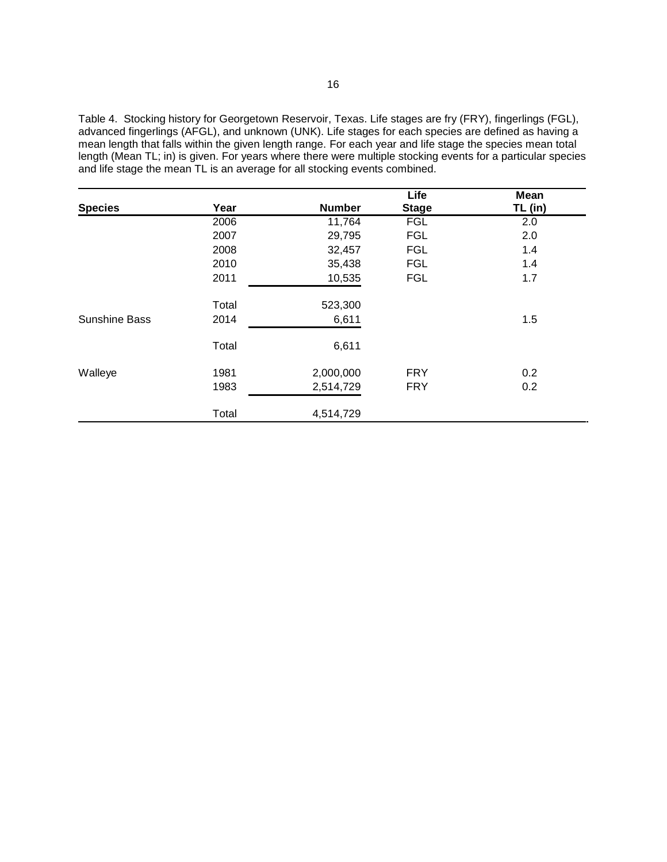Table 4. Stocking history for Georgetown Reservoir, Texas. Life stages are fry (FRY), fingerlings (FGL), advanced fingerlings (AFGL), and unknown (UNK). Life stages for each species are defined as having a mean length that falls within the given length range. For each year and life stage the species mean total length (Mean TL; in) is given. For years where there were multiple stocking events for a particular species and life stage the mean TL is an average for all stocking events combined.

|                      |       |               | Life         | <b>Mean</b> |
|----------------------|-------|---------------|--------------|-------------|
| <b>Species</b>       | Year  | <b>Number</b> | <b>Stage</b> | TL (in)     |
|                      | 2006  | 11,764        | <b>FGL</b>   | 2.0         |
|                      | 2007  | 29,795        | <b>FGL</b>   | 2.0         |
|                      | 2008  | 32,457        | <b>FGL</b>   | 1.4         |
|                      | 2010  | 35,438        | <b>FGL</b>   | 1.4         |
|                      | 2011  | 10,535        | <b>FGL</b>   | 1.7         |
|                      | Total | 523,300       |              |             |
| <b>Sunshine Bass</b> | 2014  | 6,611         |              | 1.5         |
|                      | Total | 6,611         |              |             |
| Walleye              | 1981  | 2,000,000     | <b>FRY</b>   | 0.2         |
|                      | 1983  | 2,514,729     | <b>FRY</b>   | 0.2         |
|                      | Total | 4,514,729     |              |             |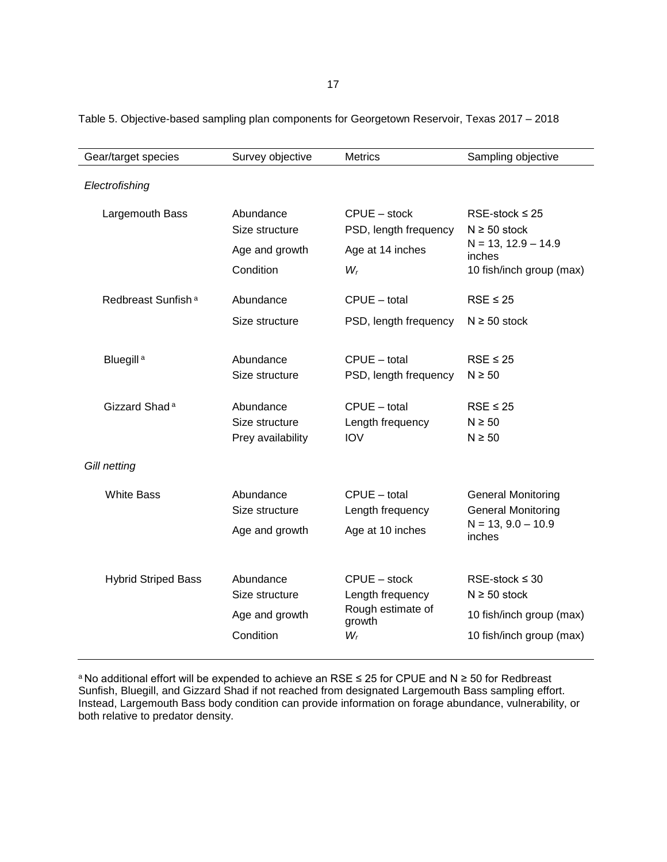| Gear/target species            | Survey objective                                           | <b>Metrics</b>                                                           | Sampling objective                                                                                     |
|--------------------------------|------------------------------------------------------------|--------------------------------------------------------------------------|--------------------------------------------------------------------------------------------------------|
| Electrofishing                 |                                                            |                                                                          |                                                                                                        |
| Largemouth Bass                | Abundance<br>Size structure<br>Age and growth<br>Condition | CPUE - stock<br>PSD, length frequency<br>Age at 14 inches<br>$W_r$       | RSE-stock $\leq$ 25<br>$N \ge 50$ stock<br>$N = 13, 12.9 - 14.9$<br>inches<br>10 fish/inch group (max) |
| Redbreast Sunfish <sup>a</sup> | Abundance                                                  | $CPUE - total$                                                           | $RSE \leq 25$                                                                                          |
|                                | Size structure                                             | PSD, length frequency                                                    | $N \ge 50$ stock                                                                                       |
| Bluegill <sup>a</sup>          | Abundance<br>Size structure                                | $CPUE - total$<br>PSD, length frequency                                  | $RSE \leq 25$<br>$N \geq 50$                                                                           |
| Gizzard Shad <sup>a</sup>      | Abundance<br>Size structure<br>Prey availability           | $CPUE - total$<br>Length frequency<br><b>IOV</b>                         | $RSE \leq 25$<br>$N \geq 50$<br>$N \geq 50$                                                            |
| Gill netting                   |                                                            |                                                                          |                                                                                                        |
| <b>White Bass</b>              | Abundance<br>Size structure<br>Age and growth              | $CPUE - total$<br>Length frequency<br>Age at 10 inches                   | <b>General Monitoring</b><br><b>General Monitoring</b><br>$N = 13, 9.0 - 10.9$<br>inches               |
| <b>Hybrid Striped Bass</b>     | Abundance<br>Size structure<br>Age and growth<br>Condition | CPUE - stock<br>Length frequency<br>Rough estimate of<br>growth<br>$W_r$ | $RSE-stock \leq 30$<br>$N \ge 50$ stock<br>10 fish/inch group (max)<br>10 fish/inch group (max)        |

Table 5. Objective-based sampling plan components for Georgetown Reservoir, Texas 2017 – 2018

<sup>a</sup>No additional effort will be expended to achieve an RSE ≤ 25 for CPUE and N ≥ 50 for Redbreast Sunfish, Bluegill, and Gizzard Shad if not reached from designated Largemouth Bass sampling effort. Instead, Largemouth Bass body condition can provide information on forage abundance, vulnerability, or both relative to predator density.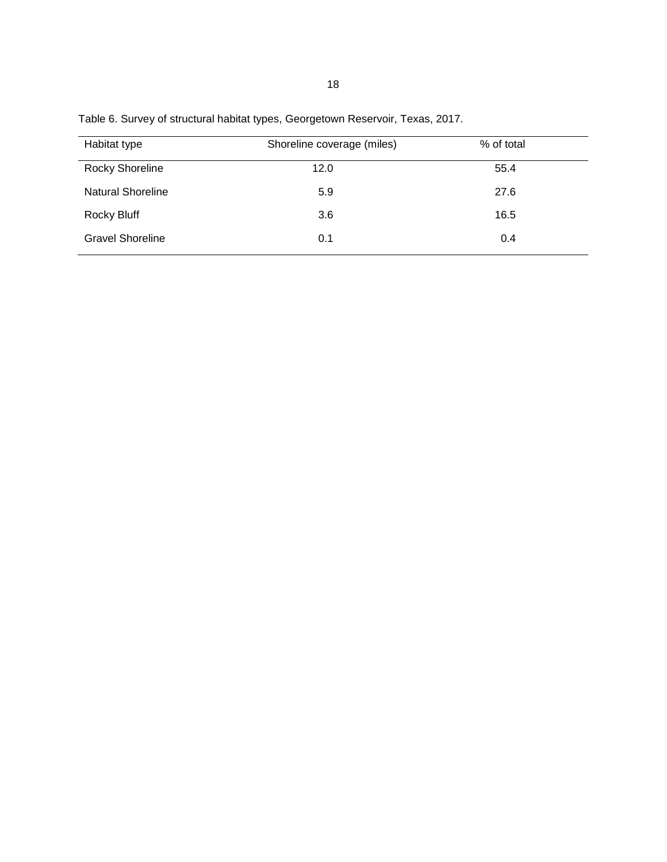| Habitat type             | Shoreline coverage (miles) | % of total |
|--------------------------|----------------------------|------------|
| <b>Rocky Shoreline</b>   | 12.0                       | 55.4       |
| <b>Natural Shoreline</b> | 5.9                        | 27.6       |
| Rocky Bluff              | 3.6                        | 16.5       |
| <b>Gravel Shoreline</b>  | 0.1                        | 0.4        |

Table 6. Survey of structural habitat types, Georgetown Reservoir, Texas, 2017.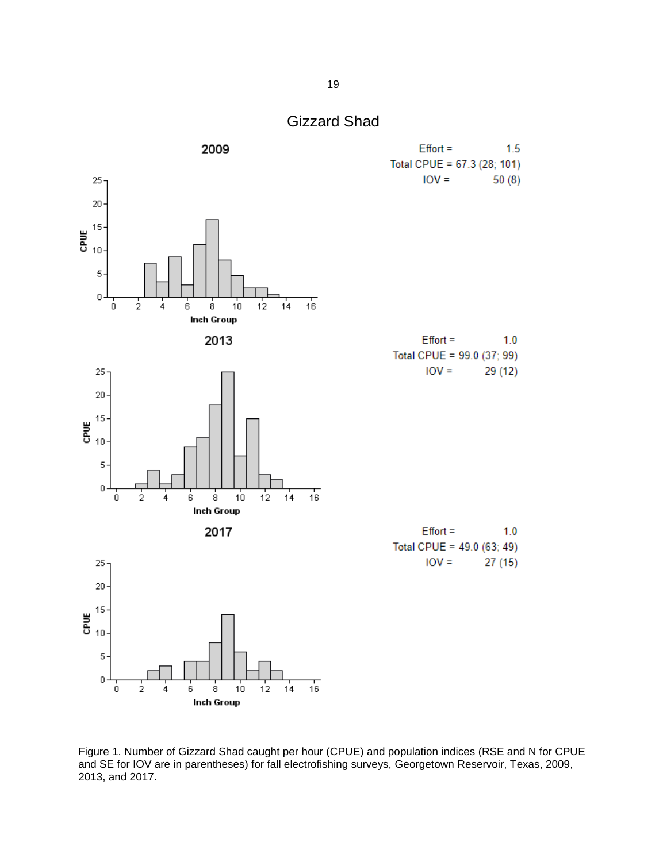

<span id="page-20-0"></span>

Figure 1. Number of Gizzard Shad caught per hour (CPUE) and population indices (RSE and N for CPUE and SE for IOV are in parentheses) for fall electrofishing surveys, Georgetown Reservoir, Texas, 2009, 2013, and 2017.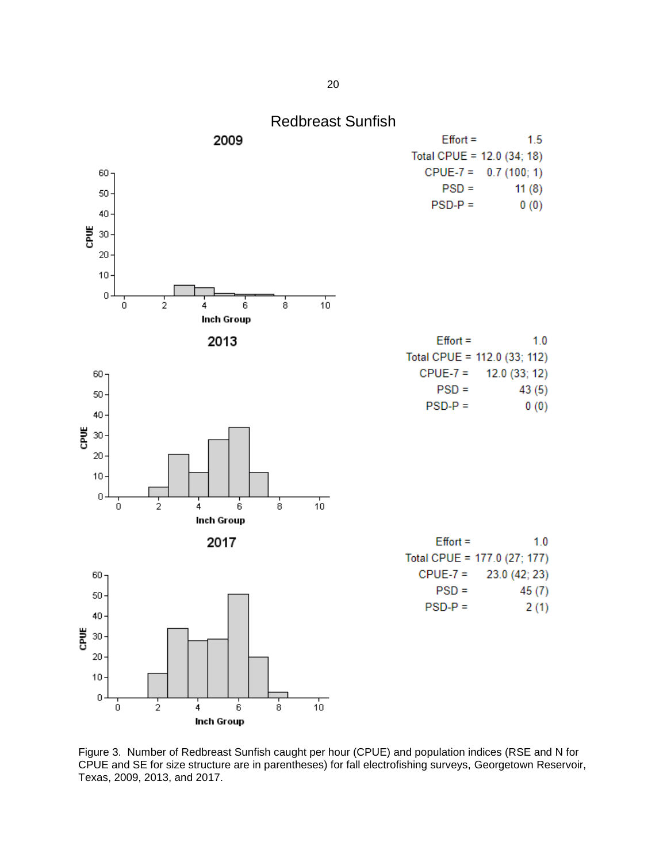<span id="page-21-0"></span>

Figure 3. Number of Redbreast Sunfish caught per hour (CPUE) and population indices (RSE and N for CPUE and SE for size structure are in parentheses) for fall electrofishing surveys, Georgetown Reservoir, Texas, 2009, 2013, and 2017.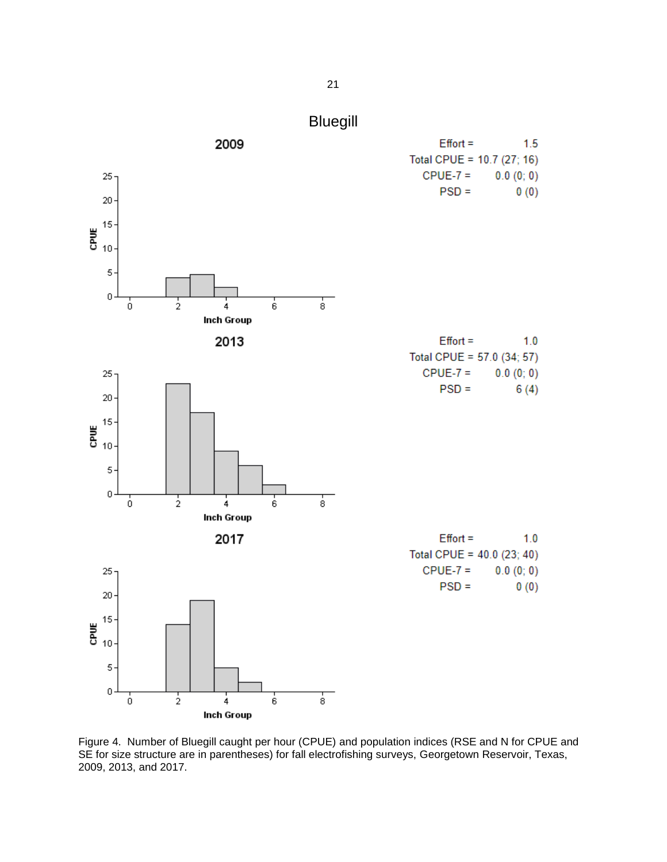

<span id="page-22-0"></span>

Figure 4. Number of Bluegill caught per hour (CPUE) and population indices (RSE and N for CPUE and SE for size structure are in parentheses) for fall electrofishing surveys, Georgetown Reservoir, Texas, 2009, 2013, and 2017.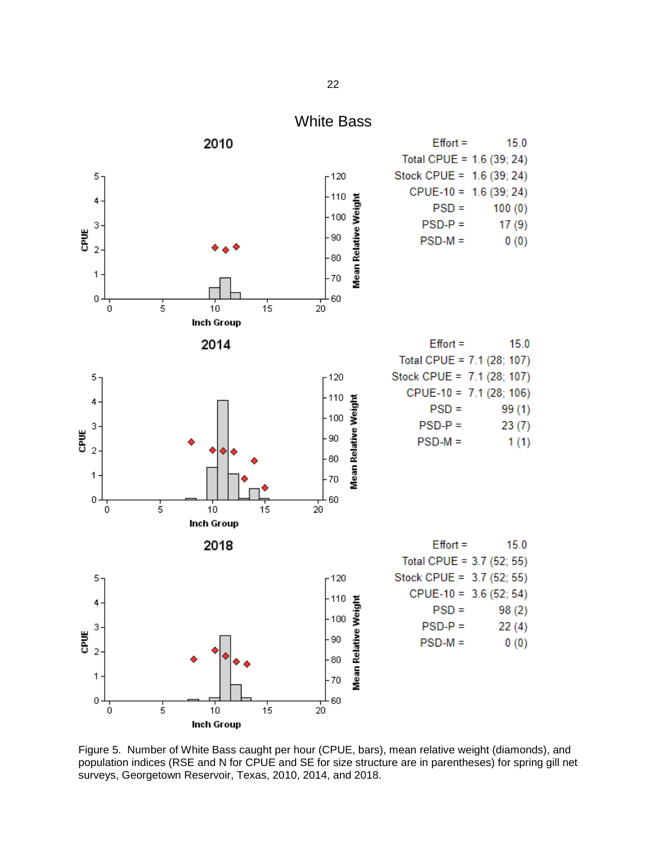<span id="page-23-0"></span>

Figure 5. Number of White Bass caught per hour (CPUE, bars), mean relative weight (diamonds), and population indices (RSE and N for CPUE and SE for size structure are in parentheses) for spring gill net surveys, Georgetown Reservoir, Texas, 2010, 2014, and 2018.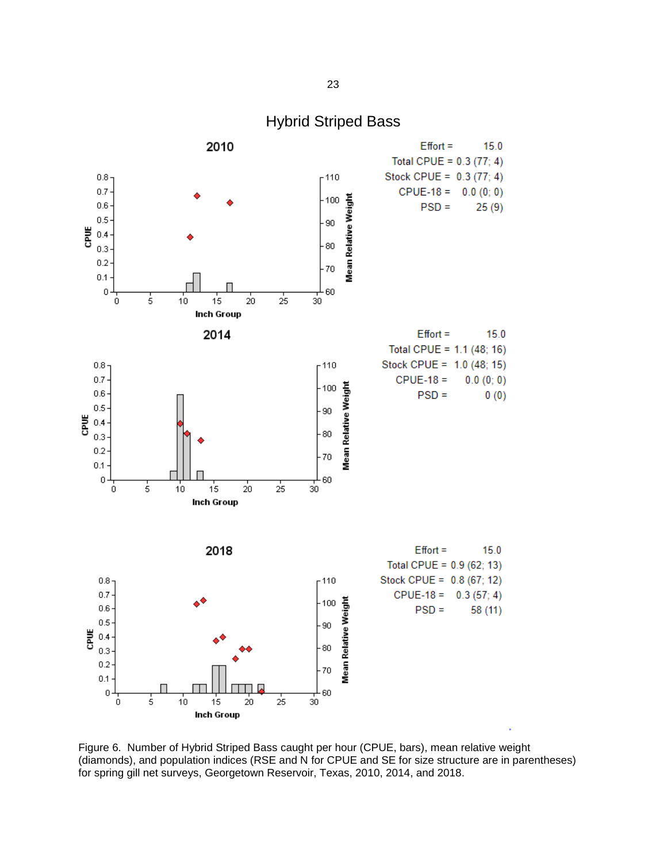<span id="page-24-0"></span>

Figure 6. Number of Hybrid Striped Bass caught per hour (CPUE, bars), mean relative weight (diamonds), and population indices (RSE and N for CPUE and SE for size structure are in parentheses) for spring gill net surveys, Georgetown Reservoir, Texas, 2010, 2014, and 2018.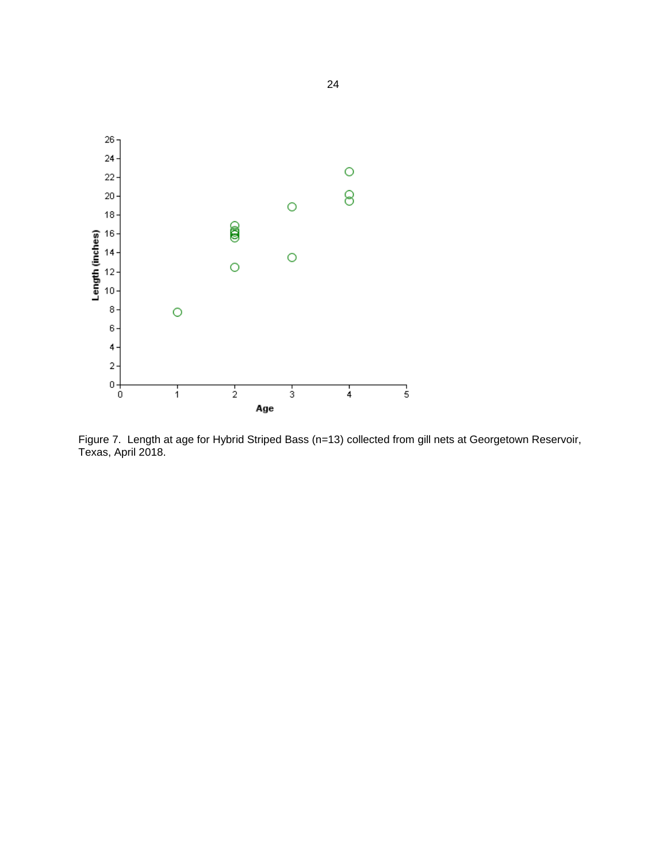

Figure 7. Length at age for Hybrid Striped Bass (n=13) collected from gill nets at Georgetown Reservoir, Texas, April 2018.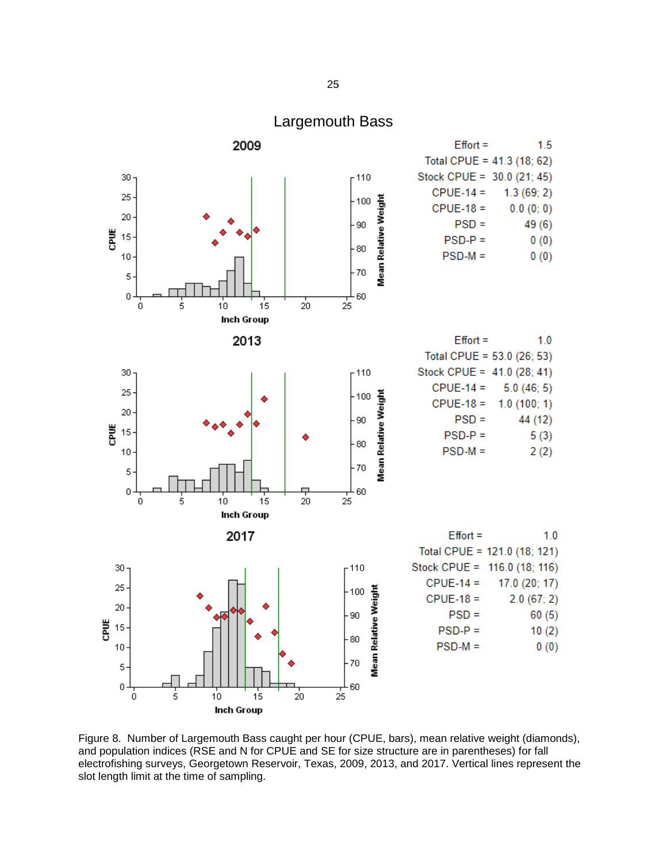<span id="page-26-0"></span>

Figure 8. Number of Largemouth Bass caught per hour (CPUE, bars), mean relative weight (diamonds), and population indices (RSE and N for CPUE and SE for size structure are in parentheses) for fall electrofishing surveys, Georgetown Reservoir, Texas, 2009, 2013, and 2017. Vertical lines represent the slot length limit at the time of sampling.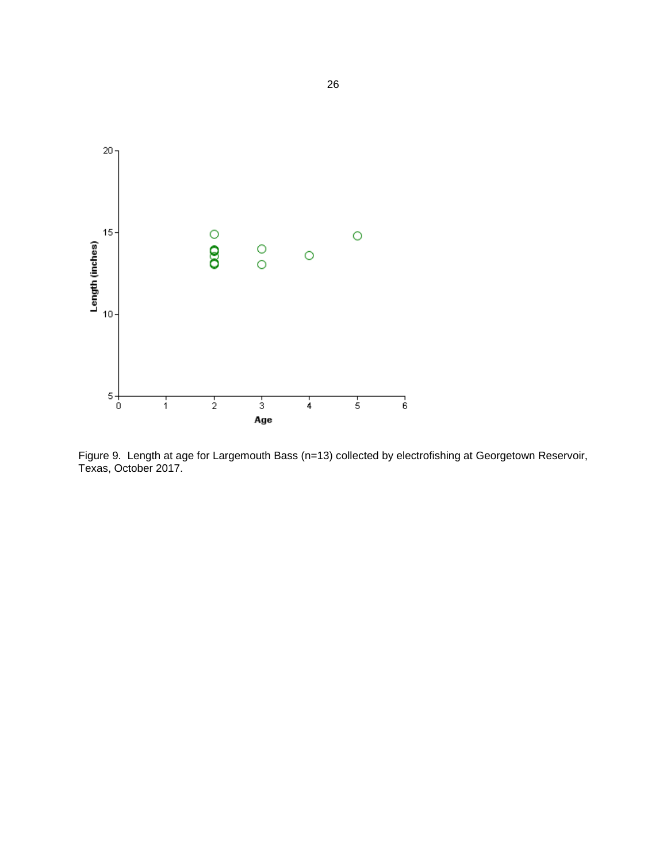

Figure 9. Length at age for Largemouth Bass (n=13) collected by electrofishing at Georgetown Reservoir, Texas, October 2017.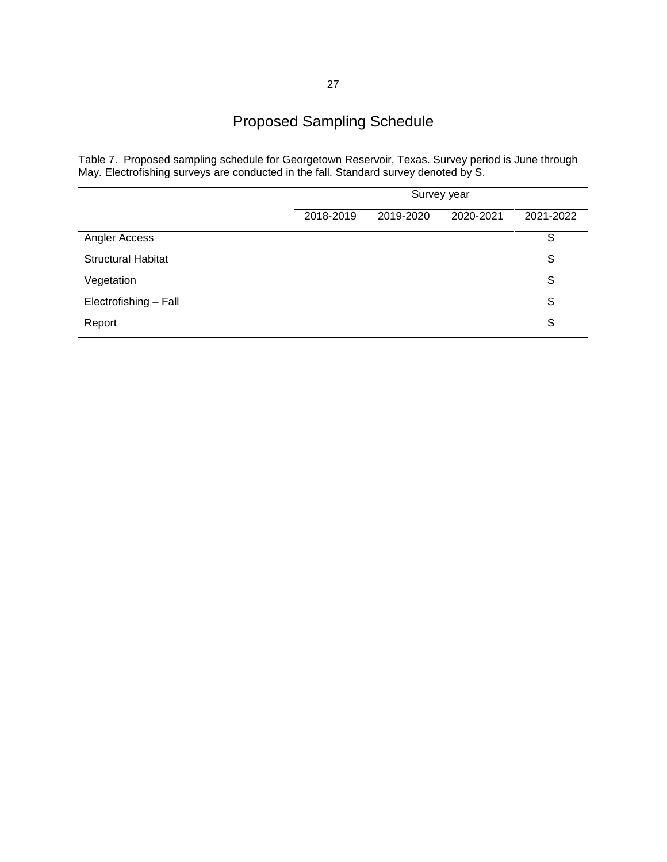### Proposed Sampling Schedule

<span id="page-28-0"></span>Table 7. Proposed sampling schedule for Georgetown Reservoir, Texas. Survey period is June through May. Electrofishing surveys are conducted in the fall. Standard survey denoted by S.

|                           | Survey year |           |           |           |
|---------------------------|-------------|-----------|-----------|-----------|
|                           | 2018-2019   | 2019-2020 | 2020-2021 | 2021-2022 |
| Angler Access             |             |           |           | S         |
| <b>Structural Habitat</b> |             |           |           | S         |
| Vegetation                |             |           |           | S         |
| Electrofishing - Fall     |             |           |           | S         |
| Report                    |             |           |           | S         |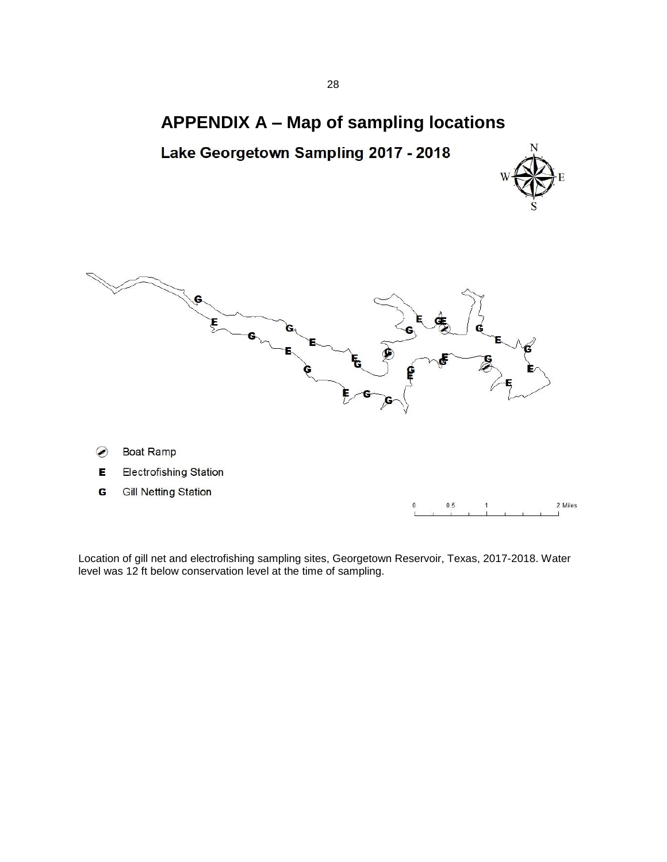### **APPENDIX A – Map of sampling locations**

<span id="page-29-0"></span>





 $\circledB$ Boat Ramp



G **Gill Netting Station** 

 $\pmb{0}$  $0.5\,$ 2 Miles

Location of gill net and electrofishing sampling sites, Georgetown Reservoir, Texas, 2017-2018. Water level was 12 ft below conservation level at the time of sampling.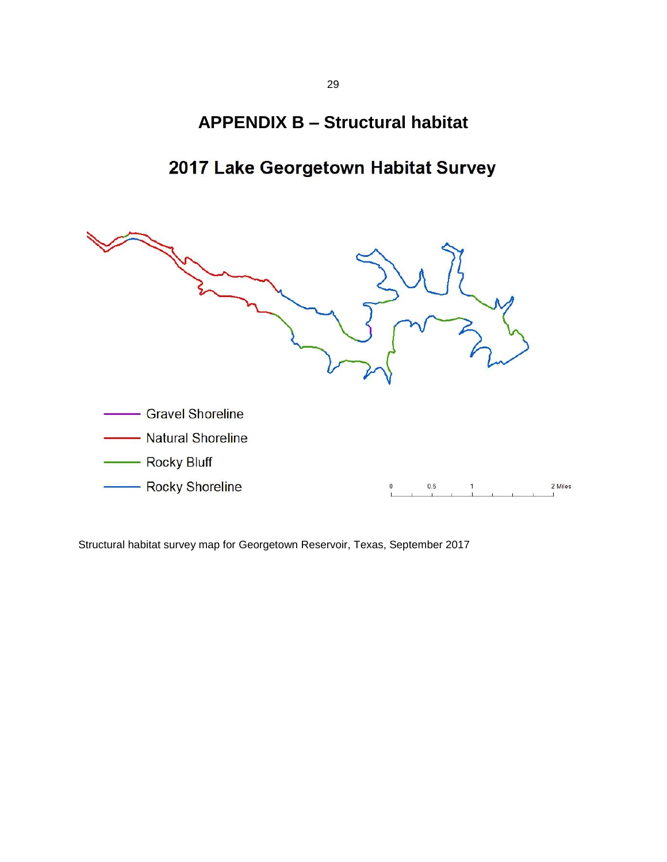### **APPENDIX B – Structural habitat**

### 2017 Lake Georgetown Habitat Survey

<span id="page-30-0"></span>

Structural habitat survey map for Georgetown Reservoir, Texas, September 2017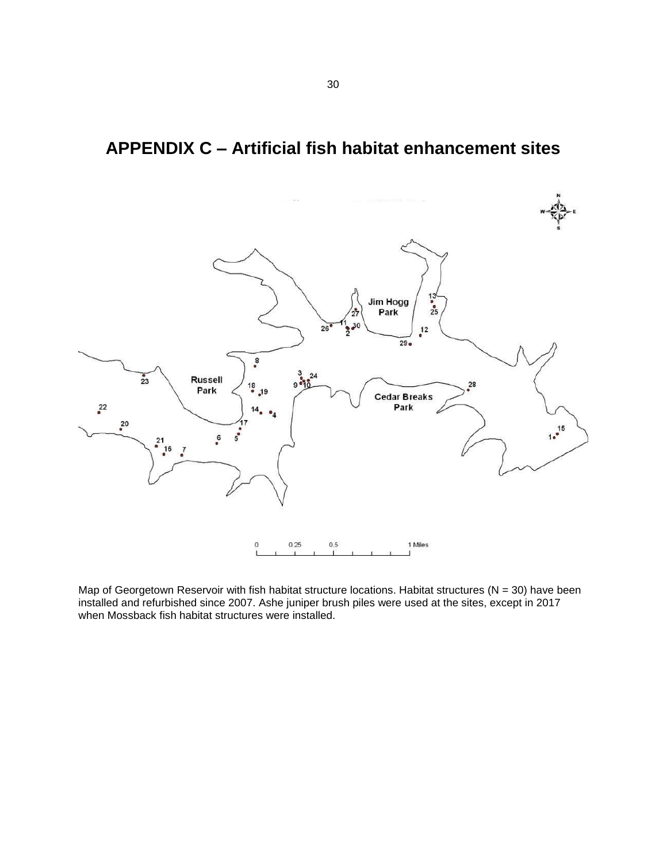### <span id="page-31-0"></span>**APPENDIX C – Artificial fish habitat enhancement sites**



Map of Georgetown Reservoir with fish habitat structure locations. Habitat structures ( $N = 30$ ) have been installed and refurbished since 2007. Ashe juniper brush piles were used at the sites, except in 2017 when Mossback fish habitat structures were installed.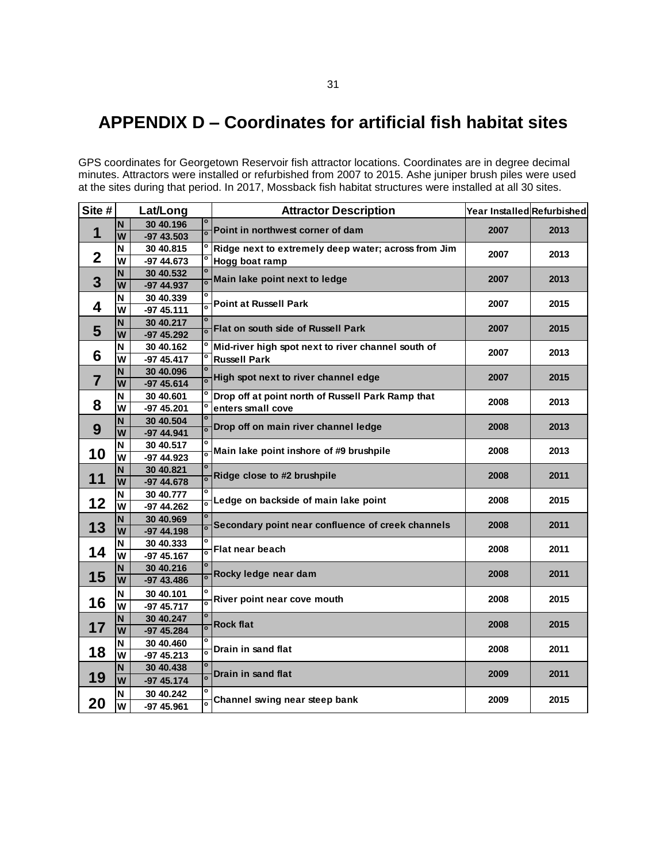### <span id="page-32-0"></span>**APPENDIX D – Coordinates for artificial fish habitat sites**

GPS coordinates for Georgetown Reservoir fish attractor locations. Coordinates are in degree decimal minutes. Attractors were installed or refurbished from 2007 to 2015. Ashe juniper brush piles were used at the sites during that period. In 2017, Mossback fish habitat structures were installed at all 30 sites.

| Site #      |                         | Lat/Long                |                                                 | <b>Attractor Description</b>                        | Year Installed Refurbished |      |
|-------------|-------------------------|-------------------------|-------------------------------------------------|-----------------------------------------------------|----------------------------|------|
|             | N                       | 30 40.196               |                                                 | Point in northwest corner of dam                    | 2007                       | 2013 |
| 1           | W                       | $-9743.503$             | $\mathbf{o}$                                    |                                                     |                            |      |
| $\mathbf 2$ | N                       | 30 40.815               |                                                 | Ridge next to extremely deep water; across from Jim | 2007                       | 2013 |
|             | W                       | -97 44.673              |                                                 | Hogg boat ramp                                      |                            |      |
| 3           | N<br>$\overline{W}$     | 30 40.532               |                                                 | Main lake point next to ledge                       | 2007                       | 2013 |
|             | N                       | $-974.937$<br>30 40.339 |                                                 |                                                     |                            |      |
| 4           | W                       | $-9745.111$             | $\overline{0}$                                  | <b>Point at Russell Park</b>                        | 2007                       | 2015 |
|             | $\overline{\mathsf{N}}$ | 30 40.217               |                                                 |                                                     |                            |      |
| 5           | W                       | -97 45.292              |                                                 | Flat on south side of Russell Park                  | 2007                       | 2015 |
|             | N                       | 30 40.162               |                                                 | Mid-river high spot next to river channel south of  |                            |      |
| 6           | W                       | $-9745.417$             |                                                 | <b>Russell Park</b>                                 | 2007                       | 2013 |
|             | N                       | 30 40.096               |                                                 |                                                     | 2007                       |      |
| 7           | W                       | $-9745.614$             |                                                 | High spot next to river channel edge                |                            | 2015 |
|             | N                       | 30 40.601               |                                                 | Drop off at point north of Russell Park Ramp that   | 2008                       | 2013 |
| 8           | W                       | -97 45.201              |                                                 | enters small cove                                   |                            |      |
|             | N                       | 30 40.504               |                                                 | Drop off on main river channel ledge                | 2008                       | 2013 |
| 9           | W                       | -97 44.941              |                                                 |                                                     |                            |      |
| 10          | N                       | 30 40.517               | $\overline{\mathbf{o}}$                         | Main lake point inshore of #9 brushpile             | 2008                       | 2013 |
|             | $\overline{\mathsf{w}}$ | -97 44.923              |                                                 |                                                     |                            |      |
| 11          | N<br>W                  | 30 40.821               |                                                 | Ridge close to #2 brushpile                         | 2008                       | 2011 |
|             | N                       | -97 44.678<br>30 40.777 |                                                 |                                                     |                            |      |
| 12          | W                       | -97 44.262              |                                                 | Ledge on backside of main lake point                | 2008                       | 2015 |
|             | N                       | 30 40.969               | $\overline{0}$                                  |                                                     |                            |      |
| 13          | W                       | -97 44.198              |                                                 | Secondary point near confluence of creek channels   | 2008                       | 2011 |
|             | N                       | 30 40.333               |                                                 |                                                     |                            |      |
| 14          | W                       | $-9745.167$             | $\overline{\mathbf{o}}$                         | <b>Flat near beach</b>                              | 2008                       | 2011 |
|             | N                       | 30 40.216               |                                                 |                                                     | 2008                       | 2011 |
| 15          | W                       | -97 43.486              |                                                 | Rocky ledge near dam                                |                            |      |
|             | N                       | 30 40.101               |                                                 | River point near cove mouth                         | 2008                       | 2015 |
| 16          | $\overline{\mathsf{w}}$ | -97 45.717              |                                                 |                                                     |                            |      |
|             | N                       | 30 40.247               | $\mathbf{o}$                                    | <b>Rock flat</b>                                    | 2008                       | 2015 |
| 17          | W                       | -97 45.284              |                                                 |                                                     |                            |      |
| 18          | N                       | 30 40.460               | $\overline{\bullet}$<br>$\overline{\mathbf{c}}$ | Drain in sand flat                                  | 2008                       | 2011 |
|             | $\overline{w}$          | $-9745.213$             |                                                 |                                                     |                            |      |
| 19          | N                       | 30 40.438               |                                                 | Drain in sand flat                                  | 2009                       | 2011 |
|             | W                       | $-9745.174$             |                                                 |                                                     |                            |      |
| 20          | N                       | 30 40.242               |                                                 | Channel swing near steep bank                       | 2009                       | 2015 |
|             | W                       | -97 45.961              |                                                 |                                                     |                            |      |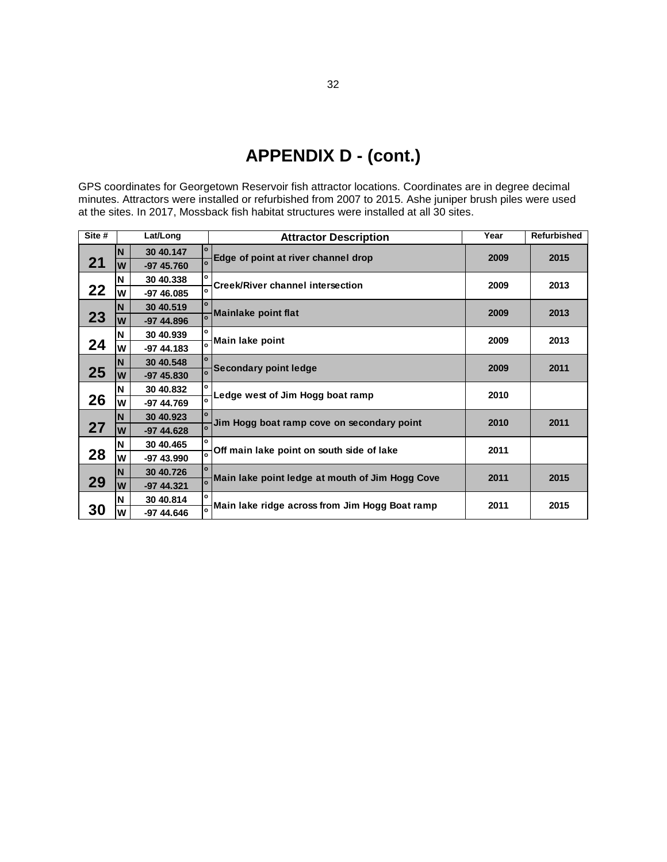# **APPENDIX D - (cont.)**

<span id="page-33-0"></span>GPS coordinates for Georgetown Reservoir fish attractor locations. Coordinates are in degree decimal minutes. Attractors were installed or refurbished from 2007 to 2015. Ashe juniper brush piles were used

|        |   |             |              | $\alpha$ in the control of the control of the control of the control of $\alpha$ to $\alpha$ to $\alpha$ to $\alpha$ the control of the control of the control of the control of the control of the control of the control of the control of the<br>at the sites. In 2017, Mossback fish habitat structures were installed at all 30 sites. |      |                    |
|--------|---|-------------|--------------|---------------------------------------------------------------------------------------------------------------------------------------------------------------------------------------------------------------------------------------------------------------------------------------------------------------------------------------------|------|--------------------|
| Site # |   | Lat/Long    |              | <b>Attractor Description</b>                                                                                                                                                                                                                                                                                                                | Year | <b>Refurbished</b> |
|        | N | 30 40.147   | $\circ$      | Edge of point at river channel drop                                                                                                                                                                                                                                                                                                         | 2009 | 2015               |
| 21     | W | $-9745.760$ |              |                                                                                                                                                                                                                                                                                                                                             |      |                    |
|        | N | 30 40.338   | $\mathbf{o}$ | <b>Creek/River channel intersection</b>                                                                                                                                                                                                                                                                                                     | 2009 | 2013               |
| 22     | W | $-9746.085$ |              |                                                                                                                                                                                                                                                                                                                                             |      |                    |
|        | N | 30 40.519   | $\mathbf{o}$ | <b>Mainlake point flat</b>                                                                                                                                                                                                                                                                                                                  | 2009 | 2013               |
| 23     | W | $-974.896$  |              |                                                                                                                                                                                                                                                                                                                                             |      |                    |
|        | N | 30 40.939   | $\mathbf{o}$ | Main lake point                                                                                                                                                                                                                                                                                                                             | 2009 | 2013               |
| 24     | W | $-974.183$  |              |                                                                                                                                                                                                                                                                                                                                             |      |                    |
|        | N | 30 40.548   | $\circ$      | <b>Secondary point ledge</b>                                                                                                                                                                                                                                                                                                                | 2009 | 2011               |
| 25     | W | $-9745.830$ |              |                                                                                                                                                                                                                                                                                                                                             |      |                    |
|        | N | 30 40.832   | $\circ$      | Ledge west of Jim Hogg boat ramp                                                                                                                                                                                                                                                                                                            | 2010 |                    |
| 26     | W | $-9744.769$ |              |                                                                                                                                                                                                                                                                                                                                             |      |                    |
|        | N | 30 40.923   | $\circ$      | Jim Hogg boat ramp cove on secondary point                                                                                                                                                                                                                                                                                                  | 2010 | 2011               |
| 27     | W | $-974.628$  |              |                                                                                                                                                                                                                                                                                                                                             |      |                    |
|        | N | 30 40.465   | $\mathbf{o}$ | Off main lake point on south side of lake                                                                                                                                                                                                                                                                                                   | 2011 |                    |
| 28     | W | -97 43.990  |              |                                                                                                                                                                                                                                                                                                                                             |      |                    |
|        | N | 30 40.726   |              | Main lake point ledge at mouth of Jim Hogg Cove                                                                                                                                                                                                                                                                                             | 2011 | 2015               |
| 29     | W | $-9744.321$ |              |                                                                                                                                                                                                                                                                                                                                             |      |                    |
|        | N | 30 40.814   | $\Omega$     | Main lake ridge across from Jim Hogg Boat ramp                                                                                                                                                                                                                                                                                              | 2011 | 2015               |
| 30     | W | -97 44.646  |              |                                                                                                                                                                                                                                                                                                                                             |      |                    |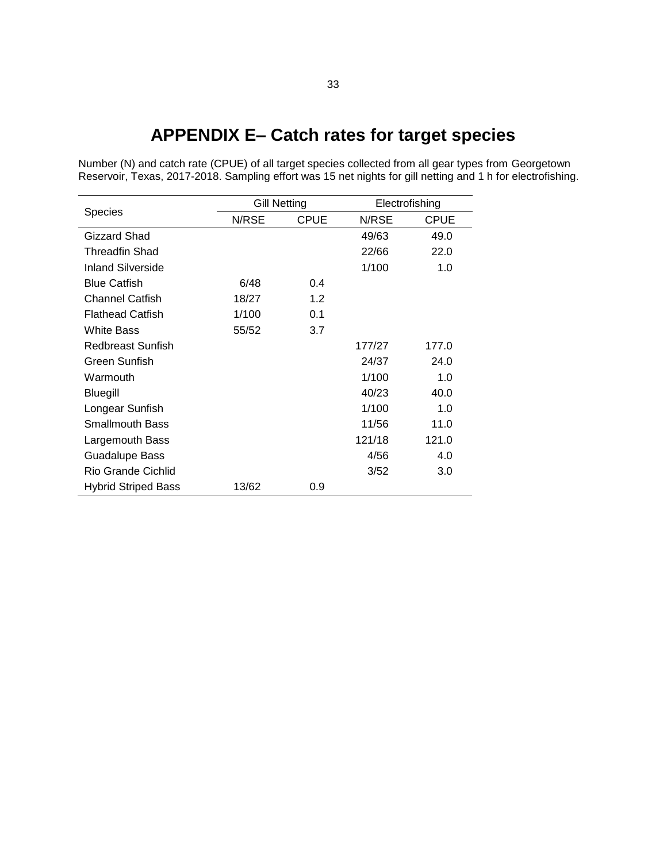# **APPENDIX E– Catch rates for target species**

<span id="page-34-0"></span>Number (N) and catch rate (CPUE) of all target species collected from all gear types from Georgetown Reservoir, Texas, 2017-2018. Sampling effort was 15 net nights for gill netting and 1 h for electrofishing.

| <b>Species</b>             | <b>Gill Netting</b> |             | Electrofishing |             |
|----------------------------|---------------------|-------------|----------------|-------------|
|                            | N/RSE               | <b>CPUE</b> | N/RSE          | <b>CPUE</b> |
| Gizzard Shad               |                     |             | 49/63          | 49.0        |
| Threadfin Shad             |                     |             | 22/66          | 22.0        |
| <b>Inland Silverside</b>   |                     |             | 1/100          | 1.0         |
| <b>Blue Catfish</b>        | 6/48                | 0.4         |                |             |
| <b>Channel Catfish</b>     | 18/27               | 1.2         |                |             |
| <b>Flathead Catfish</b>    | 1/100               | 0.1         |                |             |
| <b>White Bass</b>          | 55/52               | 3.7         |                |             |
| Redbreast Sunfish          |                     |             | 177/27         | 177.0       |
| Green Sunfish              |                     |             | 24/37          | 24.0        |
| Warmouth                   |                     |             | 1/100          | 1.0         |
| <b>Bluegill</b>            |                     |             | 40/23          | 40.0        |
| Longear Sunfish            |                     |             | 1/100          | 1.0         |
| <b>Smallmouth Bass</b>     |                     |             | 11/56          | 11.0        |
| Largemouth Bass            |                     |             | 121/18         | 121.0       |
| <b>Guadalupe Bass</b>      |                     |             | 4/56           | 4.0         |
| <b>Rio Grande Cichlid</b>  |                     |             | 3/52           | 3.0         |
| <b>Hybrid Striped Bass</b> | 13/62               | 0.9         |                |             |